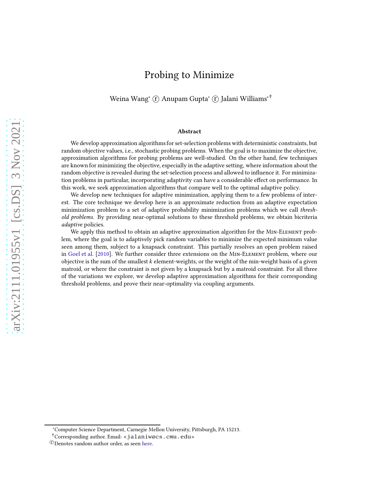# Probing to Minimize

Weina Wang<sup>∗</sup> (r̃) Anupam Gupta<sup>∗</sup> (r̄) Jalani Williams<sup>∗†</sup>

#### Abstract

We develop approximation algorithms for set-selection problems with deterministic constraints, but random objective values, i.e., stochastic probing problems. When the goal is to maximize the objective, approximation algorithms for probing problems are well-studied. On the other hand, few techniques are known for minimizing the objective, especially in the adaptive setting, where information about the random objective is revealed during the set-selection process and allowed to influence it. For minimization problems in particular, incorporating adaptivity can have a considerable effect on performance. In this work, we seek approximation algorithms that compare well to the optimal adaptive policy.

We develop new techniques for adaptive minimization, applying them to a few problems of interest. The core technique we develop here is an approximate reduction from an adaptive expectation minimization problem to a set of adaptive probability minimization problems which we call threshold problems. By providing near-optimal solutions to these threshold problems, we obtain bicriteria adaptive policies.

We apply this method to obtain an adaptive approximation algorithm for the Min-Element problem, where the goal is to adaptively pick random variables to minimize the expected minimum value seen among them, subject to a knapsack constraint. This partially resolves an open problem raised in [Goel et al.](#page-33-0) [\[2010\]](#page-33-0). We further consider three extensions on the Min-Element problem, where our objective is the sum of the smallest  $k$  element-weights, or the weight of the min-weight basis of a given matroid, or where the constraint is not given by a knapsack but by a matroid constraint. For all three of the variations we explore, we develop adaptive approximation algorithms for their corresponding threshold problems, and prove their near-optimality via coupling arguments.

<sup>∗</sup>Computer Science Department, Carnegie Mellon University, Pittsburgh, PA 15213.

<sup>†</sup>Corresponding author. Email: <jalaniw@cs.cmu.edu>

<sup>&</sup>lt;sup>T</sup>Denotes random author order, as seen here.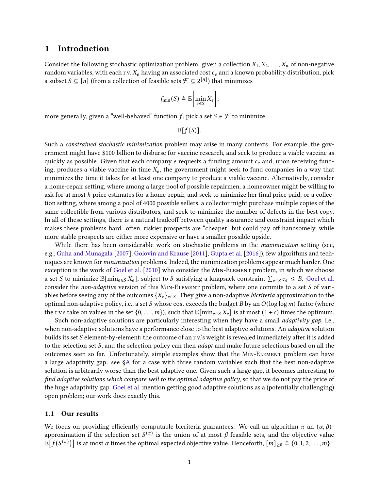## 1 Introduction

Consider the following stochastic optimization problem: given a collection  $X_1, X_2, \ldots, X_n$  of non-negative random variables, with each r.v.  $X_e$  having an associated cost  $c_e$  and a known probability distribution, pick a subset  $S \subseteq [n]$  (from a collection of feasible sets  $\mathcal{F} \subseteq 2^{[n]}$ ) that minimizes

$$
f_{\min}(S) \triangleq \mathbb{E}\bigg[\min_{e \in S} X_e\bigg];
$$

more generally, given a "well-behaved" function f, pick a set  $S \in \mathcal{F}$  to minimize

 $\mathbb{E}[f(S)]$ .

Such a constrained stochastic minimization problem may arise in many contexts. For example, the government might have \$100 billion to disburse for vaccine research, and seek to produce a viable vaccine as quickly as possible. Given that each company  $e$  requests a funding amount  $c_e$  and, upon receiving funding, produces a viable vaccine in time  $X_e$ , the government might seek to fund companies in a way that minimizes the time it takes for at least one company to produce a viable vaccine. Alternatively, consider a home-repair setting, where among a large pool of possible repairmen, a homeowner might be willing to ask for at most k price estimates for a home-repair, and seek to minimize her final price paid; or a collection setting, where among a pool of 4000 possible sellers, a collector might purchase multiple copies of the same collectible from various distributors, and seek to minimize the number of defects in the best copy. In all of these settings, there is a natural tradeoff between quality assurance and constraint impact which makes these problems hard: often, riskier prospects are "cheaper" but could pay off handsomely, while more stable prospects are either more expensive or have a smaller possible upside.

While there has been considerable work on stochastic problems in the *maximization* setting (see, e.g., [Guha and Munagala](#page-33-1) [\[2007](#page-33-1)], [Golovin and Krause](#page-33-2) [\[2011](#page-33-2)], [Gupta et al.](#page-33-3) [\[2016\]](#page-33-3)), few algorithms and techniques are known for minimization problems. Indeed, the minimization problems appear much harder. One exception is the work of [Goel et al.](#page-33-0) [\[2010](#page-33-0)] who consider the Min-Element problem, in which we choose a set S to minimize  $\mathbb{E}[\min_{e \in S} X_e]$ , subject to S satisfying a knapsack constraint  $\sum_{e \in S} c_e \leq B$ . [Goel et al.](#page-33-0) consider the non-adaptive version of this MIN-ELEMENT problem, where one commits to a set  $S$  of variables before seeing any of the outcomes  $\{X_e\}_{e \in S}$ . They give a non-adaptive *bicriteria* approximation to the optimal non-adaptive policy, i.e., a set  $S$  whose cost exceeds the budget  $B$  by an  $O(\log \log m)$  factor (where the r.v.s take on values in the set  $\{0, \ldots, m\}$ , such that  $\mathbb{E}[\min_{e \in S} X_e]$  is at most  $(1 + \varepsilon)$  times the optimum.

Such non-adaptive solutions are particularly interesting when they have a small *adaptivity gap*, i.e., when non-adaptive solutions have a performance close to the best adaptive solutions. An *adaptive* solution builds its set S element-by-element: the outcome of an r.v.'s weight is revealed immediately after it is added to the selection set S, and the selection policy can then *adapt* and make future selections based on all the outcomes seen so far. Unfortunately, simple examples show that the Min-Element problem can have a large adaptivity gap: see [§A](#page-32-0) for a case with three random variables such that the best non-adaptive solution is arbitrarily worse than the best adaptive one. Given such a large gap, it becomes interesting to find adaptive solutions which compare well to the optimal adaptive policy, so that we do not pay the price of the huge adaptivity gap. [Goel et al.](#page-33-0) mention getting good adaptive solutions as a (potentially challenging) open problem; our work does exactly this.

### 1.1 Our results

We focus on providing efficiently computable bicriteria guarantees. We call an algorithm  $\pi$  an  $(\alpha, \beta)$ approximation if the selection set  $S^{(\pi)}$  is the union of at most  $\beta$  feasible sets, and the objective value  $\mathbb{\bar{E}}[f(S^{(\pi)})]$  is at most  $\alpha$  times the optimal expected objective value. Henceforth,  $[m]_{\geq 0}\triangleq\{0,1,2,\ldots,m\}.$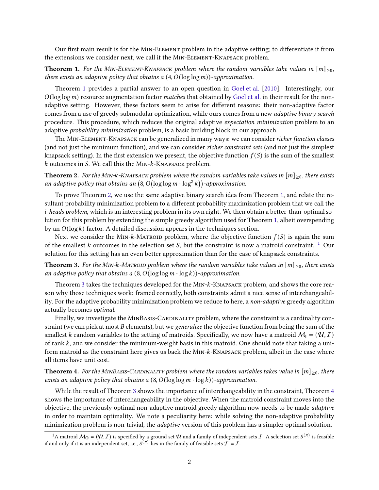<span id="page-2-0"></span>Our first main result is for the Min-Element problem in the adaptive setting; to differentiate it from the extensions we consider next, we call it the Min-Element-Knapsack problem.

## **Theorem 1.** For the MIN-ELEMENT-KNAPSACK problem where the random variables take values in  $[m]_{\geq 0}$ , there exists an adaptive policy that obtains a  $(4, O(\log \log m))$ -approximation.

Theorem [1](#page-2-0) provides a partial answer to an open question in [Goel et al.](#page-33-0) [\[2010](#page-33-0)]. Interestingly, our  $O(\log \log m)$  resource augmentation factor *matches* that obtained by [Goel et al.](#page-33-0) in their result for the nonadaptive setting. However, these factors seem to arise for different reasons: their non-adaptive factor comes from a use of greedy submodular optimization, while ours comes from a new adaptive binary search procedure. This procedure, which reduces the original adaptive expectation minimization problem to an adaptive probability minimization problem, is a basic building block in our approach.

The Min-Element-Knapsack can be generalized in many ways: we can consider richer function classes (and not just the minimum function), and we can consider richer constraint sets (and not just the simplest knapsack setting). In the first extension we present, the objective function  $f(S)$  is the sum of the smallest  $k$  outcomes in  $S$ . We call this the MIN- $k$ -KNAPSACK problem.

<span id="page-2-1"></span>**Theorem 2.** For the MIN-k-KNAPSACK problem where the random variables take values in  $[m]_{\geq 0}$ , there exists an adaptive policy that obtains an  $(8, O(\log\log m \cdot \log^2 k))$ -approximation.

To prove Theorem [2,](#page-2-1) we use the same adaptive binary search idea from Theorem [1,](#page-2-0) and relate the resultant probability minimization problem to a different probability maximization problem that we call the *i*-heads problem, which is an interesting problem in its own right. We then obtain a better-than-optimal solution for this problem by extending the simple greedy algorithm used for Theorem [1,](#page-2-0) albeit overspending by an  $O(\log k)$  factor. A detailed discussion appears in the techniques section.

Next we consider the MIN-k-MATROID problem, where the objective function  $f(S)$  is again the sum of the smallest  $k$  outcomes in the selection set  $S$ , but the constraint is now a matroid constraint. <sup>[1](#page-2-2)</sup> Our solution for this setting has an even better approximation than for the case of knapsack constraints.

<span id="page-2-3"></span>**Theorem 3.** For the MIN-k-MATROID problem where the random variables take values in  $[m]_{\geq 0}$ , there exists an adaptive policy that obtains a  $(8, O(\log \log m \cdot \log k))$ -approximation.

Theorem [3](#page-2-3) takes the techniques developed for the MIN-k-KNAPSACK problem, and shows the core reason why those techniques work: framed correctly, both constraints admit a nice sense of interchangeability. For the adaptive probability minimization problem we reduce to here, a non-adaptive greedy algorithm actually becomes optimal.

Finally, we investigate the MINBASIS-CARDINALITY problem, where the constraint is a cardinality constraint (we can pick at most  $B$  elements), but we generalize the objective function from being the sum of the smallest k random variables to the setting of matroids. Specifically, we now have a matroid  $M_1 = (U, I)$ of rank  $k$ , and we consider the minimum-weight basis in this matroid. One should note that taking a uniform matroid as the constraint here gives us back the MIN-k-KNAPSACK problem, albeit in the case where all items have unit cost.

<span id="page-2-4"></span>**Theorem 4.** For the MINBASIS-CARDINALITY problem where the random variables takes value in  $[m]_{\geq 0}$ , there exists an adaptive policy that obtains a  $(8, O(\log \log m \cdot \log k))$ -approximation.

While the result of Theorem [3](#page-2-3) shows the importance of interchangeability in the constraint, Theorem [4](#page-2-4) shows the importance of interchangeability in the objective. When the matroid constraint moves into the objective, the previously optimal non-adaptive matroid greedy algorithm now needs to be made *adaptive* in order to maintain optimality. We note a peculiarity here: while solving the non-adaptive probability minimization problem is non-trivial, the *adaptive* version of this problem has a simpler optimal solution.

<span id="page-2-2"></span><sup>&</sup>lt;sup>1</sup>A matroid  $M_{\bf{O}} = (\mathcal{U}, I)$  is specified by a ground set  $\mathcal U$  and a family of independent sets  $I$ . A selection set  $S^{(\pi)}$  is feasible if and only if it is an independent set, i.e.,  $S^{(\pi)}$  lies in the family of feasible sets  $\mathcal{F} = I$ .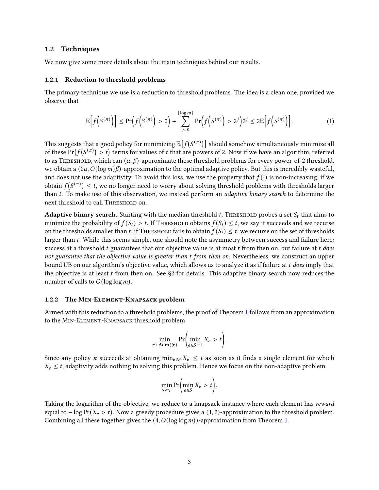### <span id="page-3-3"></span>1.2 Techniques

We now give some more details about the main techniques behind our results.

## <span id="page-3-0"></span>1.2.1 Reduction to threshold problems

The primary technique we use is a reduction to threshold problems. The idea is a clean one, provided we observe that

<span id="page-3-1"></span>
$$
\mathbb{E}\Big[f\Big(S^{(\pi)}\Big)\Big] \leq \Pr\Big(f\Big(S^{(\pi)}\Big) > 0\Big) + \sum_{j=0}^{\lfloor \log m \rfloor} \Pr\Big(f\Big(S^{(\pi)}\Big) > 2^j\Big) 2^j \leq 2 \mathbb{E}\Big[f\Big(S^{(\pi)}\Big)\Big].\tag{1}
$$

This suggests that a good policy for minimizing  $\mathbb{E}\big[f(S^{(\pi)})\big]$  should somehow simultaneously minimize all of these  $Pr(f(S^{(\pi)}) > t)$  terms for values of t that are powers of 2. Now if we have an algorithm, referred to as THRESHOLD, which can  $(\alpha, \beta)$ -approximate these threshold problems for every power-of-2 threshold, we obtain a  $(2\alpha, O(\log m)\beta)$ -approximation to the optimal adaptive policy. But this is incredibly wasteful, and does not use the adaptivity. To avoid this loss, we use the property that  $f(\cdot)$  is non-increasing; if we obtain  $f(S^{(\pi)}) \leq t,$  we no longer need to worry about solving threshold problems with thresholds larger than  $t$ . To make use of this observation, we instead perform an *adaptive binary search* to determine the next threshold to call Threshold on.

**Adaptive binary search.** Starting with the median threshold  $t$ , THRESHOLD probes a set  $S_t$  that aims to minimize the probability of  $f(S_t) > t$ . If THRESHOLD obtains  $f(S_t) \leq t$ , we say it succeeds and we recurse on the thresholds smaller than *t*; if THRESHOLD fails to obtain  $f(S_t) \leq t$ , we recurse on the set of thresholds larger than t. While this seems simple, one should note the asymmetry between success and failure here: success at a threshold  $t$  guarantees that our objective value is at most  $t$  from then on, but failure at  $t$  does not guarantee that the objective value is greater than t from then on. Nevertheless, we construct an upper bound UB on our algorithm's objective value, which allows us to analyze it as if failure at t does imply that the objective is at least t from then on. See  $\S2$  for details. This adaptive binary search now reduces the number of calls to  $O(\log \log m)$ .

#### <span id="page-3-2"></span>1.2.2 The Min-Element-Knapsack problem

Armed with this reduction to a threshold problems, the proof of Theorem [1](#page-2-0) follows from an approximation to the Min-Element-Knapsack threshold problem

$$
\min_{\pi \in \mathbf{Adm}(\mathcal{F})} \Pr \biggl( \min_{e \in S^{(\pi)}} X_e > t \biggr).
$$

Since any policy  $\pi$  succeeds at obtaining min<sub>e</sub> ∈  $X_e \leq t$  as soon as it finds a single element for which  $X_e \leq t$ , adaptivity adds nothing to solving this problem. Hence we focus on the non-adaptive problem

$$
\min_{S \in \mathcal{F}} \Pr\left(\min_{e \in S} X_e > t\right).
$$

Taking the logarithm of the objective, we reduce to a knapsack instance where each element has *reward* equal to  $-\log \Pr(X_e > t)$ . Now a greedy procedure gives a (1, 2)-approximation to the threshold problem. Combining all these together gives the  $(4, O(\log \log m))$ -approximation from Theorem [1.](#page-2-0)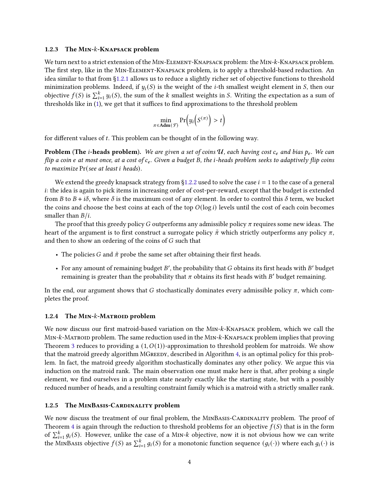#### <span id="page-4-0"></span>1.2.3 The MIN-k-KNAPSACK problem

We turn next to a strict extension of the MIN-ELEMENT-KNAPSACK problem: the MIN- $k$ -KNAPSACK problem. The first step, like in the Min-Element-Knapsack problem, is to apply a threshold-based reduction. An idea similar to that from [§1.2.1](#page-3-0) allows us to reduce a slightly richer set of objective functions to threshold minimization problems. Indeed, if  $y_i(S)$  is the weight of the *i*-th smallest weight element in *S*, then our objective  $f(S)$  is  $\sum_{i=1}^{k} y_i(S)$ , the sum of the k smallest weights in S. Writing the expectation as a sum of thresholds like in [\(1\)](#page-3-1), we get that it suffices to find approximations to the threshold problem

$$
\min_{\pi \in \mathbf{Adm}(\mathcal{F})} \Pr\Big(y_i\Big(S^{(\pi)}\Big) > t\Big)
$$

for different values of  $t$ . This problem can be thought of in the following way.

**Problem (The** *i***-heads problem).** We are given a set of coins  $U$ , each having cost  $c_e$  and bias  $p_e$ . We can flip a coin e at most once, at a cost of  $c_e$ . Given a budget B, the *i*-heads problem seeks to adaptively flip coins to maximize  $Pr$  (see at least *i* heads).

We extend the greedy knapsack strategy from [§1.2.2](#page-3-2) used to solve the case  $i = 1$  to the case of a general i: the idea is again to pick items in increasing order of cost-per-reward, except that the budget is extended from B to  $B + i\delta$ , where  $\delta$  is the maximum cost of any element. In order to control this  $\delta$  term, we bucket the coins and choose the best coins at each of the top  $O(log i)$  levels until the cost of each coin becomes smaller than  $B/i$ .

The proof that this greedy policy G outperforms any admissible policy  $\pi$  requires some new ideas. The heart of the argument is to first construct a surrogate policy  $\tilde{\pi}$  which strictly outperforms any policy  $\pi$ , and then to show an ordering of the coins of  $G$  such that

- The policies G and  $\tilde{\pi}$  probe the same set after obtaining their first heads.
- For any amount of remaining budget  $B'$ , the probability that  $G$  obtains its first heads with  $B'$  budget remaining is greater than the probability that  $\pi$  obtains its first heads with  $B'$  budget remaining.

In the end, our argument shows that G stochastically dominates every admissible policy  $\pi$ , which completes the proof.

#### 1.2.4 The MIN- $k$ -Matroid problem

We now discuss our first matroid-based variation on the MIN-k-KNAPSACK problem, which we call the  $MIN-k-MATROID problem.$  The same reduction used in the  $MIN-k-KNAPSACK$  problem implies that proving Theorem [3](#page-2-3) reduces to providing a  $(1, O(1))$ -approximation to threshold problem for matroids. We show that the matroid greedy algorithm MGreedy, described in Algorithm [4,](#page-24-0) is an optimal policy for this problem. In fact, the matroid greedy algorithm stochastically dominates any other policy. We argue this via induction on the matroid rank. The main observation one must make here is that, after probing a single element, we find ourselves in a problem state nearly exactly like the starting state, but with a possibly reduced number of heads, and a resulting constraint family which is a matroid with a strictly smaller rank.

#### 1.2.5 The MINBASIS-CARDINALITY problem

We now discuss the treatment of our final problem, the MINBASIS-CARDINALITY problem. The proof of Theorem [4](#page-2-4) is again through the reduction to threshold problems for an objective  $f(S)$  that is in the form of  $\sum_{i=1}^{k} g_i(S)$ . However, unlike the case of a MIN-k objective, now it is not obvious how we can write the MINBASIS objective  $f(S)$  as  $\sum_{i=1}^k g_i(S)$  for a monotonic function sequence  $(g_i(\cdot))$  where each  $g_i(\cdot)$  is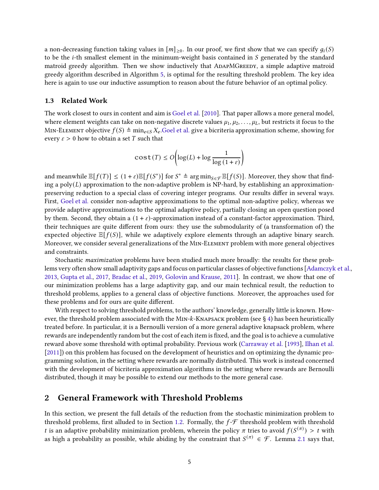a non-decreasing function taking values in  $[m]_{\geq 0}$ . In our proof, we first show that we can specify  $g_i(S)$ to be the *i*-th smallest element in the minimum-weight basis contained in S generated by the standard matroid greedy algorithm. Then we show inductively that ADAPMGREEDY, a simple adaptive matroid greedy algorithm described in Algorithm [5,](#page-28-0) is optimal for the resulting threshold problem. The key idea here is again to use our inductive assumption to reason about the future behavior of an optimal policy.

### 1.3 Related Work

The work closest to ours in content and aim is [Goel et al.](#page-33-0) [\[2010](#page-33-0)]. That paper allows a more general model, where element weights can take on non-negative discrete values  $\mu_1, \mu_2, \ldots, \mu_L$ , but restricts it focus to the MIN-ELEMENT objective  $f(S) \triangleq \min_{e \in S} X_e$ . Goel et al. give a bicriteria approximation scheme, showing for every  $\varepsilon > 0$  how to obtain a set T such that

$$
cost(T) \le O\left(\log(L) + \log \frac{1}{\log(1+\varepsilon)}\right)
$$

and meanwhile  $\mathbb{E}[f(T)] \leq (1+\varepsilon)\mathbb{E}[f(S^*)]$  for  $S^* \triangleq \arg \min_{S \in \mathcal{F}} \mathbb{E}[f(S)]$ . Moreover, they show that finding a  $poly(L)$  approximation to the non-adaptive problem is NP-hard, by establishing an approximationpreserving reduction to a special class of covering integer programs. Our results differ in several ways. First, [Goel et al.](#page-33-0) consider non-adaptive approximations to the optimal non-adaptive policy, whereas we provide adaptive approximations to the optimal adaptive policy, partially closing an open question posed by them. Second, they obtain a  $(1 + \varepsilon)$ -approximation instead of a constant-factor approximation. Third, their techniques are quite different from ours: they use the submodularity of (a transformation of) the expected objective  $\mathbb{E}[f(S)]$ , while we adaptively explore elements through an adaptive binary search. Moreover, we consider several generalizations of the Min-Element problem with more general objectives and constraints.

Stochastic maximization problems have been studied much more broadly: the results for these problems very often show small adaptivity gaps and focus on particular classes of objective functions [\[Adamczyk et al.,](#page-33-4) [2013](#page-33-4), [Gupta et al.](#page-33-5), [2017](#page-33-5), [Bradac et al.,](#page-33-6) [2019,](#page-33-6) [Golovin and Krause,](#page-33-2) [2011\]](#page-33-2). In contrast, we show that one of our minimization problems has a large adaptivity gap, and our main technical result, the reduction to threshold problems, applies to a general class of objective functions. Moreover, the approaches used for these problems and for ours are quite different.

With respect to solving threshold problems, to the authors' knowledge, generally little is known. However, the threshold problem associated with the MIN- $k$ -KNAPSACK problem (see § [4\)](#page-11-0) has been heuristically treated before. In particular, it is a Bernoulli version of a more general adaptive knapsack problem, where rewards are independently random but the cost of each item is fixed, and the goal is to achieve a cumulative reward above some threshold with optimal probability. Previous work [\(Carraway et al.](#page-33-7) [\[1993](#page-33-7)], [Ilhan et al.](#page-33-8) [\[2011](#page-33-8)]) on this problem has focused on the development of heuristics and on optimizing the dynamic programming solution, in the setting where rewards are normally distributed. This work is instead concerned with the development of bicriteria approximation algorithms in the setting where rewards are Bernoulli distributed, though it may be possible to extend our methods to the more general case.

## <span id="page-5-0"></span>2 General Framework with Threshold Problems

In this section, we present the full details of the reduction from the stochastic minimization problem to threshold problems, first alluded to in Section [1.2.](#page-3-3) Formally, the  $f$ - $\mathcal F$  threshold problem with threshold t is an adaptive probability minimization problem, wherein the policy  $\pi$  tries to avoid  $f(S^{(\pi)}) > t$  with as high a probability as possible, while abiding by the constraint that  $S^{(\pi)} \in \mathcal{F}$ . Lemma [2.1](#page-6-0) says that,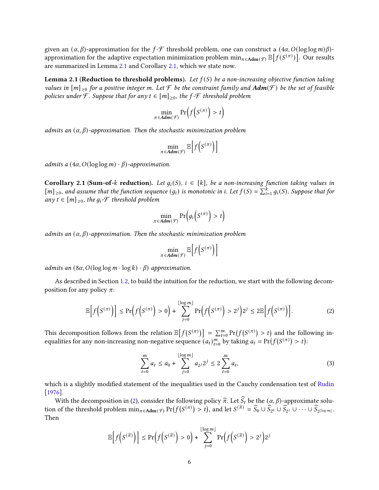given an  $(\alpha, \beta)$ -approximation for the  $f$ - $\mathcal F$  threshold problem, one can construct a  $(4\alpha, O(\log \log m)\beta)$ approximation for the adaptive expectation minimization problem  $\min_{\pi \in \mathrm{Adm}(\mathcal{F})} \mathbb{E}\big[f(S^{(\pi)})\big].$  Our results are summarized in Lemma [2.1](#page-6-0) and Corollary [2.1,](#page-6-1) which we state now.

<span id="page-6-0"></span>**Lemma 2.1 (Reduction to threshold problems).** Let  $f(S)$  be a non-increasing objective function taking values in  $[m]_{\geq 0}$  for a positive integer m. Let F be the constraint family and  $Adm(\mathcal{F})$  be the set of feasible policies under F. Suppose that for any  $t \in [m]_{>0}$ , the  $f$ -F threshold problem

$$
\min_{\pi \in \mathbf{Adm}(\mathcal{F})} \Pr\Big(f\Big(S^{(\pi)}\Big) > t\Big)
$$

admits an  $(\alpha, \beta)$ -approximation. Then the stochastic minimization problem

$$
\min_{\pi \in \mathbf{Adm}(\mathcal{F})} \mathbb{E}\Big[f\Big(\mathbf{S}^{(\pi)}\Big)\Big]
$$

<span id="page-6-1"></span>admits a  $(4\alpha, O(\log \log m) \cdot \beta)$ -approximation.

Corollary 2.1 (Sum-of- $k$  reduction). Let  $g_i(S)$ ,  $i \in [k]$ , be a non-increasing function taking values in  $[m]_{\geq 0}$ , and assume that the function sequence  $(g_i)$  is monotonic in i. Let  $f(S) = \sum_{i=1}^{k} g_i(S)$ . Suppose that for any  $t \in [m]_{\geq 0}$ , the  $g_i$ -*F* threshold problem

$$
\min_{\pi \in \mathbf{Adm}(\mathcal{F})} \Pr\Big(g_i\Big(S^{(\pi)}\Big) > t\Big)
$$

admits an  $(\alpha, \beta)$ -approximation. Then the stochastic minimization problem

$$
\min_{\pi \in \mathbf{Adm}(\mathcal{F})} \mathbb{E}\Big[f\Big(\mathbf{S}^{(\pi)}\Big)\Big]
$$

admits an  $(8\alpha, O(\log \log m \cdot \log k) \cdot \beta)$  approximation.

As described in Section [1.2,](#page-3-3) to build the intuition for the reduction, we start with the following decomposition for any policy  $\pi$ :

<span id="page-6-2"></span>
$$
\mathbb{E}\Big[f\Big(S^{(\pi)}\Big)\Big] \leq \Pr\Big(f\Big(S^{(\pi)}\Big) > 0\Big) + \sum_{j=0}^{\lfloor \log m \rfloor} \Pr\Big(f\Big(S^{(\pi)}\Big) > 2^j\Big) 2^j \leq 2 \mathbb{E}\Big[f\Big(S^{(\pi)}\Big)\Big].\tag{2}
$$

This decomposition follows from the relation  $\mathbb{E}\big[f(S^{(\pi)})\big] = \sum_{t=0}^{m} \Pr(f(S^{(\pi)}) > t)$  and the following inequalities for any non-increasing non-negative sequence  $(a_t)_{t=0}^m$  by taking  $a_t = \Pr(f(S^{(\pi)}) > t)$ :

<span id="page-6-3"></span>
$$
\sum_{t=0}^{m} a_t \le a_0 + \sum_{j=0}^{\lfloor \log m \rfloor} a_{2j} 2^j \le 2 \sum_{t=0}^{m} a_t,
$$
\n(3)

which is a slightly modified statement of the inequalities used in the Cauchy condensation test of [Rudin](#page-34-0) [\[1976](#page-34-0)].

With the decomposition in [\(2\)](#page-6-2), consider the following policy  $\hat{\pi}$ . Let  $\hat{S}_t$  be the  $(\alpha, \beta)$ -approximate solution of the threshold problem  $\min_{\pi \in \text{Adm}(\mathcal{F})} \Pr(f(\mathcal{S}^{(\pi)}) > t)$ , and let  $\mathcal{S}^{(\widehat{\pi})} = \widehat{S}_0 \cup \widehat{S}_{2^0} \cup \widehat{S}_{2^1} \cup \cdots \cup \widehat{S}_{2^{\lfloor \log m \rfloor}}$ . Then

$$
\mathbb{E}\Big[f\Big(S^{(\widehat{\pi})}\Big)\Big] \leq \Pr\Big(f\Big(S^{(\widehat{\pi})}\Big) > 0\Big) + \sum_{j=0}^{\lfloor \log m \rfloor} \Pr\Big(f\Big(S^{(\widehat{\pi})}\Big) > 2^j\Big)2^j
$$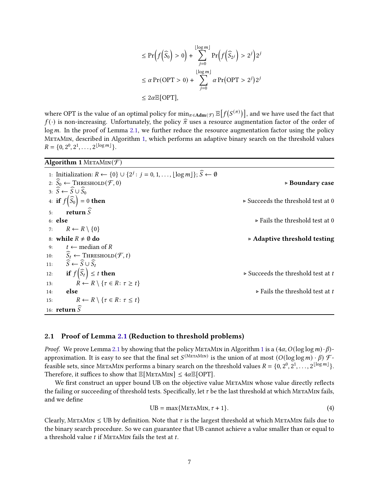$$
\leq \Pr\left(f\left(\widehat{S}_0\right) > 0\right) + \sum_{j=0}^{\lfloor \log m \rfloor} \Pr\left(f\left(\widehat{S}_{2^j}\right) > 2^j\right) 2^j
$$
\n
$$
\leq \alpha \Pr(\text{OPT} > 0) + \sum_{j=0}^{\lfloor \log m \rfloor} \alpha \Pr(\text{OPT} > 2^j) 2^j
$$
\n
$$
\leq 2\alpha \mathbb{E}[\text{OPT}],
$$

where OPT is the value of an optimal policy for  $\min_{\pi \in \mathrm{Adm}(\mathcal{F})} \mathbb{E}\big[f(S^{(\pi)})\big]$ , and we have used the fact that  $f(\cdot)$  is non-increasing. Unfortunately, the policy  $\hat{\pi}$  uses a resource augmentation factor of the order of  $log m$ . In the proof of Lemma [2.1,](#page-6-0) we further reduce the resource augmentation factor using the policy MetaMin, described in Algorithm [1,](#page-7-0) which performs an adaptive binary search on the threshold values  $R = \{0, 2^0, 2^1, \ldots, 2^{\lfloor \log m \rfloor} \}.$ 

<span id="page-7-0"></span>

| Algorithm 1 METAMIN $(F)$                                                                                                         |                                                   |
|-----------------------------------------------------------------------------------------------------------------------------------|---------------------------------------------------|
| 1: Initialization: $R \leftarrow \{0\} \cup \{2^j : j = 0, 1, \ldots, \lfloor \log m \rfloor\}; \widehat{S} \leftarrow \emptyset$ |                                                   |
| 2: $S_0 \leftarrow$ THRESHOLD $(\mathcal{F}, 0)$                                                                                  | $\triangleright$ Boundary case                    |
| $3: \widehat{S} \leftarrow \widehat{S} \cup \widehat{S}_0$                                                                        |                                                   |
| 4: if $f(\widehat{S}_0) = 0$ then                                                                                                 | $\triangleright$ Succeeds the threshold test at 0 |
| return $\widehat{S}$<br>5 <sup>1</sup>                                                                                            |                                                   |
| $6:$ else                                                                                                                         | $\triangleright$ Fails the threshold test at 0    |
| $R \leftarrow R \setminus \{0\}$<br>7:                                                                                            |                                                   |
| 8: while $R \neq \emptyset$ do                                                                                                    | $\triangleright$ Adaptive threshold testing       |
| $t \leftarrow \text{median of } R$<br>9:                                                                                          |                                                   |
| 10: $\widehat{S}_t \leftarrow$ THRESHOLD $(\mathcal{F}, t)$                                                                       |                                                   |
| $\widehat{S} \leftarrow \widehat{S} \cup \widehat{S}_t$<br>11:                                                                    |                                                   |
| if $f(\widehat{S}_t) \leq t$ then<br>12:                                                                                          | $\triangleright$ Succeeds the threshold test at t |
| $R \leftarrow R \setminus \{ \tau \in R : \tau \geq t \}$<br>13:                                                                  |                                                   |
| else<br>14:                                                                                                                       | $\triangleright$ Fails the threshold test at t    |
| $R \leftarrow R \setminus \{ \tau \in R : \tau \leq t \}$<br>15:                                                                  |                                                   |
| 16: return $\widetilde{S}$                                                                                                        |                                                   |

## 2.1 Proof of Lemma [2.1](#page-6-0) (Reduction to threshold problems)

*Proof.* We prove Lemma [2.1](#page-6-0) by showing that the policy METAMIN in Algorithm [1](#page-7-0) is a  $(4\alpha, O(\log \log m) \cdot \beta)$ approximation. It is easy to see that the final set  $S^{(\text{MerAMIN})}$  is the union of at most  $(O(\log \log m) \cdot \beta)$   $\mathcal{F}$ feasible sets, since METAMIN performs a binary search on the threshold values  $R = \{0, 2^0, 2^1, \ldots, 2^{\lfloor \log m \rfloor}\}.$ Therefore, it suffices to show that  $\mathbb{E}[\text{METAMIN}] \leq 4\alpha \mathbb{E}[\text{OPT}].$ 

We first construct an upper bound UB on the objective value METAMIN whose value directly reflects the failing or succeeding of threshold tests. Specifically, let  $\tau$  be the last threshold at which METAMIN fails, and we define

$$
UB = \max\{METAMIN, \tau + 1\}.
$$
 (4)

Clearly, METAMIN  $\leq$  UB by definition. Note that  $\tau$  is the largest threshold at which METAMIN fails due to the binary search procedure. So we can guarantee that UB cannot achieve a value smaller than or equal to a threshold value  $t$  if METAMIN fails the test at  $t$ .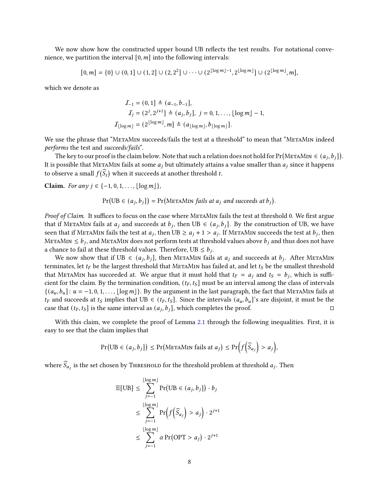We now show how the constructed upper bound UB reflects the test results. For notational convenience, we partition the interval  $[0, m]$  into the following intervals:

$$
[0,m] = \{0\} \cup (0,1] \cup (1,2] \cup (2,2^2] \cup \cdots \cup (2^{\lfloor \log m \rfloor -1},2^{\lfloor \log m \rfloor}) \cup (2^{\lfloor \log m \rfloor},m],
$$

which we denote as

$$
I_{-1} = (0, 1] \triangleq (a_{-1}, b_{-1}],
$$
  
\n
$$
I_{j} = (2^{j}, 2^{j+1}] \triangleq (a_{j}, b_{j}], j = 0, 1, ..., \lfloor \log m \rfloor - 1,
$$
  
\n
$$
I_{\lfloor \log m \rfloor} = (2^{\lfloor \log m \rfloor}, m] \triangleq (a_{\lfloor \log m \rfloor}, b_{\lfloor \log m \rfloor}).
$$

We use the phrase that "METAMIN succeeds/fails the test at a threshold" to mean that "METAMIN indeed performs the test and succeeds/fails".

The key to our proof is the claim below. Note that such a relation does not hold for  $Pr(METAMIN \in (a_j, b_j])$ . It is possible that METAMIN fails at some  $a_j$  but ultimately attains a value smaller than  $a_j$  since it happens to observe a small  $f(\widehat{S}_t)$  when it succeeds at another threshold  $t$ .

Claim. For any  $j \in \{-1, 0, 1, \ldots, \lfloor \log m \rfloor\},\$ 

 $Pr(UB \in (a_j, b_j]) = Pr(METAMIN fails at a_j and succeeds at b_j).$ 

Proof of Claim. It suffices to focus on the case where METAMIN fails the test at threshold 0. We first argue that if METAMIN fails at  $a_j$  and succeeds at  $b_j$ , then UB  $\in$   $(a_j, b_j]$ . By the construction of UB, we have seen that if METAMIN fails the test at  $a_j$ , then UB  $\ge a_j + 1 > a_j$ . If METAMIN succeeds the test at  $b_j$ , then METAMIN  $\leq b_j$ , and METAMIN does not perform tests at threshold values above  $b_j$  and thus does not have a chance to fail at these threshold values. Therefore, UB  $\leq b_j$ .

We now show that if UB  $\in$   $(a_j, b_j]$ , then METAMIN fails at  $a_j$  and succeeds at  $b_j$ . After METAMIN terminates, let  $t_F$  be the largest threshold that METAMIN has failed at, and let  $t_S$  be the smallest threshold that METAMIN has succeeded at. We argue that it must hold that  $t_F = a_j$  and  $t_S = b_j$ , which is sufficient for the claim. By the termination condition,  $(t_F, t_S]$  must be an interval among the class of intervals  $\{(a_u, b_u): u = -1, 0, 1, \ldots, \lfloor \log m \rfloor\}$ . By the argument in the last paragraph, the fact that METAMIN fails at  $t_F$  and succeeds at  $t_S$  implies that UB  $\in$   $(t_F, t_S]$ . Since the intervals  $(a_u, b_u]$ 's are disjoint, it must be the case that  $(t_F, t_S]$  is the same interval as  $(a_j, b_j]$ , which completes the proof.

With this claim, we complete the proof of Lemma [2.1](#page-6-0) through the following inequalities. First, it is easy to see that the claim implies that

$$
\Pr\big(\text{UB} \in (a_j, b_j]\big) \le \Pr\big(\text{MerAMIN fails at } a_j\big) \le \Pr\Big(f\Big(\widehat{S}_{a_j}\Big) > a_j\Big),
$$

where  $\widehat S_{a_j}$  is the set chosen by THRESHOLD for the threshold problem at threshold  $a_j$ . Then

$$
\mathbb{E}[\text{UB}] \leq \sum_{j=-1}^{\lfloor \log m \rfloor} \Pr(\text{UB} \in (a_j, b_j]) \cdot b_j
$$
  

$$
\leq \sum_{j=-1}^{\lfloor \log m \rfloor} \Pr(f(\widehat{S}_{a_j}) > a_j) \cdot 2^{j+1}
$$
  

$$
\leq \sum_{j=-1}^{\lfloor \log m \rfloor} \alpha \Pr(\text{OPT} > a_j) \cdot 2^{j+1}
$$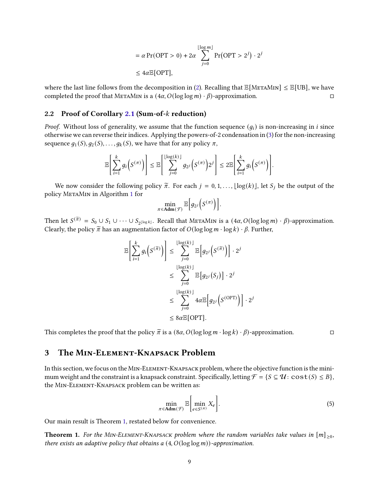$$
= \alpha \Pr(\text{OPT} > 0) + 2\alpha \sum_{j=0}^{\lfloor \log m \rfloor} \Pr(\text{OPT} > 2^j) \cdot 2^j
$$
  

$$
\leq 4\alpha \mathbb{E}[\text{OPT}],
$$

where the last line follows from the decomposition in [\(2\)](#page-6-2). Recalling that  $\mathbb{E}[\text{MerAMIN}] \leq \mathbb{E}[\text{UB}]$ , we have completed the proof that METAMIN is a  $(4\alpha, O(\log \log m) \cdot \beta)$ -approximation.

## 2.2 Proof of Corollary [2.1](#page-6-1) (Sum-of- $k$  reduction)

*Proof.* Without loss of generality, we assume that the function sequence  $(q_i)$  is non-increasing in *i* since otherwise we can reverse their indices. Applying the powers-of-2 condensation in [\(3\)](#page-6-3) for the non-increasing sequence  $g_1(S), g_2(S), \ldots, g_k(S)$ , we have that for any policy  $\pi$ ,

$$
\mathbb{E}\Bigg[\sum_{i=1}^k g_i\Big(S^{(\pi)}\Big)\Bigg] \leq \mathbb{E}\Bigg[\sum_{j=0}^{\lfloor \log(k) \rfloor} g_{2^j}\Big(S^{(\pi)}\Big)2^j\Bigg] \leq 2 \mathbb{E}\Bigg[\sum_{i=1}^k g_i\Big(S^{(\pi)}\Big)\Bigg].
$$

We now consider the following policy  $\tilde{\pi}$ . For each  $j = 0, 1, \ldots, \lfloor \log(k) \rfloor$ , let  $S_j$  be the output of the policy MetaMin in Algorithm [1](#page-7-0) for

$$
\min_{\pi \in \mathbf{Adm}(\mathcal{F})} \mathbb{E}\Big[g_{2^j}\Big(S^{(\pi)}\Big)\Big].
$$

Then let  $S^{(\widetilde{\pi})} = S_0 \cup S_1 \cup \cdots \cup S_{2^{\lfloor \log k \rfloor}}$ . Recall that METAMIN is a  $(4\alpha, O(\log \log m) \cdot \beta)$ -approximation. Clearly, the policy  $\tilde{\pi}$  has an augmentation factor of  $O(\log \log m \cdot \log k) \cdot \beta$ . Further,

$$
\mathbb{E}\left[\sum_{i=1}^{k} g_i\left(S^{(\overline{\pi})}\right)\right] \leq \sum_{j=0}^{\lfloor \log(k) \rfloor} \mathbb{E}\left[g_{2^j}\left(S^{(\overline{\pi})}\right)\right] \cdot 2^j
$$
\n
$$
\leq \sum_{j=0}^{\lfloor \log(k) \rfloor} \mathbb{E}\left[g_{2^j}\left(S_j\right)\right] \cdot 2^j
$$
\n
$$
\leq \sum_{j=0}^{\lfloor \log(k) \rfloor} 4\alpha \mathbb{E}\left[g_{2^j}\left(S^{(\text{OPT})}\right)\right] \cdot 2^j
$$
\n
$$
\leq 8\alpha \mathbb{E}[\text{OPT}].
$$

This completes the proof that the policy  $\tilde{\pi}$  is a  $(8\alpha, O(\log \log m \cdot \log k) \cdot \beta)$ -approximation.

3 The Min-Element-Knapsack Problem

In this section, we focus on the Min-Element-Knapsack problem, where the objective function is the minimum weight and the constraint is a knapsack constraint. Specifically, letting  $\mathcal{F} = \{S \subseteq \mathcal{U} : \text{cost}(S) \leq B\}$ , the Min-Element-Knapsack problem can be written as:

$$
\min_{\pi \in \text{Adm}(\mathcal{F})} \mathbb{E}\bigg[\min_{e \in S^{(\pi)}} X_e\bigg].\tag{5}
$$

Our main result is Theorem [1,](#page-2-0) restated below for convenience.

**Theorem 1.** For the MIN-ELEMENT-KNAPSACK problem where the random variables take values in  $[m]_{\geq 0}$ , there exists an adaptive policy that obtains a  $(4, O(\log \log m))$ -approximation.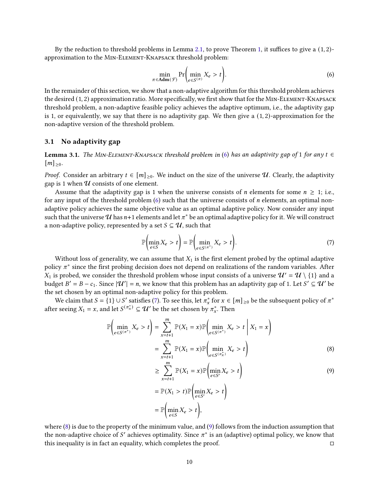By the reduction to threshold problems in Lemma [2.1,](#page-6-0) to prove Theorem [1,](#page-2-0) it suffices to give a (1, 2) approximation to the Min-Element-Knapsack threshold problem:

<span id="page-10-0"></span>
$$
\min_{\pi \in \text{Adm}(\mathcal{F})} \Pr\bigg(\min_{e \in S^{(\pi)}} X_e > t\bigg). \tag{6}
$$

In the remainder of this section, we show that a non-adaptive algorithm for this threshold problem achieves the desired (1, 2) approximation ratio. More specifically, we first show that for the Min-Element-Knapsack threshold problem, a non-adaptive feasible policy achieves the adaptive optimum, i.e., the adaptivity gap is 1, or equivalently, we say that there is no adaptivity gap. We then give a  $(1, 2)$ -approximation for the non-adaptive version of the threshold problem.

### <span id="page-10-4"></span>3.1 No adaptivity gap

**Lemma 3.1.** The MIN-ELEMENT-KNAPSACK threshold problem in [\(6\)](#page-10-0) has an adaptivity gap of 1 for any  $t \in$  $[m]_{\geq 0}.$ 

*Proof.* Consider an arbitrary  $t \in [m]_{\geq 0}$ . We induct on the size of the universe  $\mathcal U$ . Clearly, the adaptivity gap is 1 when  $U$  consists of one element.

Assume that the adaptivity gap is 1 when the universe consists of *n* elements for some  $n \geq 1$ ; i.e., for any input of the threshold problem  $(6)$  such that the universe consists of *n* elements, an optimal nonadaptive policy achieves the same objective value as an optimal adaptive policy. Now consider any input such that the universe  ${\cal U}$  has  $n+1$  elements and let  $\pi^*$  be an optimal adaptive policy for it. We will construct a non-adaptive policy, represented by a set  $S \subseteq U$ , such that

<span id="page-10-1"></span>
$$
\mathbb{P}\left(\min_{e\in S} X_e > t\right) = \mathbb{P}\left(\min_{e\in S^{(\pi^*)}} X_e > t\right). \tag{7}
$$

Without loss of generality, we can assume that  $X_1$  is the first element probed by the optimal adaptive policy  $\pi^*$  since the first probing decision does not depend on realizations of the random variables. After  $X_1$  is probed, we consider the threshold problem whose input consists of a universe  $\mathcal{U}' = \mathcal{U} \setminus \{1\}$  and a budget  $B' = B - c_1$ . Since  $|\mathcal{U}'| = n$ , we know that this problem has an adaptivity gap of 1. Let  $S' \subseteq \mathcal{U}'$  be the set chosen by an optimal non-adaptive policy for this problem.

We claim that  $S = \{1\} \cup S'$  satisfies [\(7\)](#page-10-1). To see this, let  $\pi_x^*$  for  $x \in [m]_{\geq 0}$  be the subsequent policy of  $\pi^*$ after seeing  $X_1 = x$ , and let  $S^{(\pi^*_x)} \subseteq \mathcal{U}'$  be the set chosen by  $\pi^*_x$ . Then

$$
\mathbb{P}\left(\min_{e \in S^{(\pi^*)}} X_e > t\right) = \sum_{x=t+1}^m \mathbb{P}(X_1 = x) \mathbb{P}\left(\min_{e \in S^{(\pi^*)}} X_e > t \mid X_1 = x\right)
$$

$$
= \sum_{x=t+1}^m \mathbb{P}(X_1 = x) \mathbb{P}\left(\min_{e \in S^{(\pi^*)}} X_e > t\right)
$$
(8)

<span id="page-10-3"></span><span id="page-10-2"></span>
$$
\geq \sum_{x=t+1}^{m} \mathbb{P}(X_1 = x) \mathbb{P}\left(\min_{e \in S'} X_e > t\right)
$$
  
=  $\mathbb{P}(X_1 > t) \mathbb{P}\left(\min_{e \in S'} X_e > t\right)$   
=  $\mathbb{P}\left(\min_{e \in S} X_e > t\right),$  (9)

where [\(8\)](#page-10-2) is due to the property of the minimum value, and [\(9\)](#page-10-3) follows from the induction assumption that the non-adaptive choice of S' achieves optimality. Since  $\pi^*$  is an (adaptive) optimal policy, we know that this inequality is in fact an equality, which completes the proof.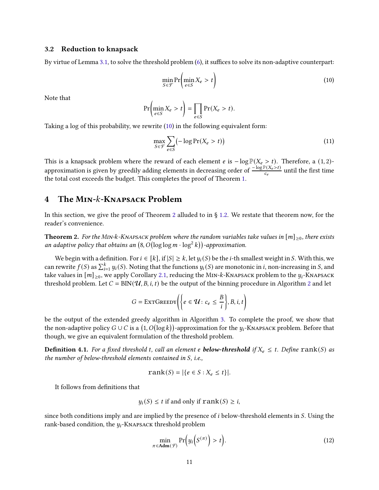### 3.2 Reduction to knapsack

By virtue of Lemma [3.1,](#page-10-4) to solve the threshold problem [\(6\)](#page-10-0), it suffices to solve its non-adaptive counterpart:

<span id="page-11-1"></span>
$$
\min_{S \in \mathcal{F}} \Pr\left(\min_{e \in S} X_e > t\right) \tag{10}
$$

Note that

$$
\Pr\left(\min_{e \in S} X_e > t\right) = \prod_{e \in S} \Pr(X_e > t).
$$

Taking a log of this probability, we rewrite [\(10\)](#page-11-1) in the following equivalent form:

$$
\max_{S \in \mathcal{F}} \sum_{e \in S} \left( -\log \Pr(X_e > t) \right) \tag{11}
$$

This is a knapsack problem where the reward of each element *e* is  $-\log \mathbb{P}(X_e > t)$ . Therefore, a (1, 2)approximation is given by greedily adding elements in decreasing order of  $\frac{-\log P(X_e > t)}{c_e}$  until the first time the total cost exceeds the budget. This completes the proof of Theorem [1.](#page-2-0)

## <span id="page-11-0"></span>4 The MIN-k-KNAPSACK Problem

In this section, we give the proof of Theorem [2](#page-2-1) alluded to in  $\S$  [1.2.](#page-3-3) We restate that theorem now, for the reader's convenience.

**Theorem 2.** For the MIN-k-KNAPSACK problem where the random variables take values in  $[m]_{\geq 0}$ , there exists an adaptive policy that obtains an  $(8, O(\log\log m \cdot \log^2 k))$ -approximation.

We begin with a definition. For  $i \in [k]$ , if  $|S| \geq k$ , let  $y_i(S)$  be the *i*-th smallest weight in S. With this, we can rewrite  $f(S)$  as  $\sum_{i=1}^k y_i(S)$ . Noting that the functions  $y_i(S)$  are monotonic in  $i$ , non-increasing in  $S$ , and take values in  $[m]_{\geq 0}$ , we apply Corollary [2.1,](#page-6-1) reducing the MIN-k-KNAPSACK problem to the  $y_i$ -KNAPSACK threshold problem. Let  $C = BIN(\mathcal{U}, B, i, t)$  be the output of the binning procedure in Algorithm [2](#page-13-0) and let

$$
G = \text{EXTGreeby}\left(\left\{e \in \mathcal{U}: c_e \leq \frac{B}{i}\right\}, B, i, t\right)
$$

be the output of the extended greedy algorithm in Algorithm [3.](#page-13-1) To complete the proof, we show that the non-adaptive policy  $G \cup C$  is a  $(1, O(\log k))$ -approximation for the  $y_i$ -Kn $\lambda$ psack problem. Before that though, we give an equivalent formulation of the threshold problem.

**Definition 4.1.** For a fixed threshold t, call an element e **below-threshold** if  $X_e \leq t$ . Define rank(S) as the number of below-threshold elements contained in  $S$ , i.e.,

$$
\text{rank}(S) = |\{e \in S : X_e \le t\}|.
$$

It follows from definitions that

$$
y_i(S) \leq t
$$
 if and only if  $\text{rank}(S) \geq i$ ,

since both conditions imply and are implied by the presence of  $i$  below-threshold elements in  $S$ . Using the rank-based condition, the  $y_i$ -KNAPSACK threshold problem

$$
\min_{\pi \in \mathbf{Adm}(\mathcal{F})} \Pr\Big(y_i\Big(s^{(\pi)}\Big) > t\Big). \tag{12}
$$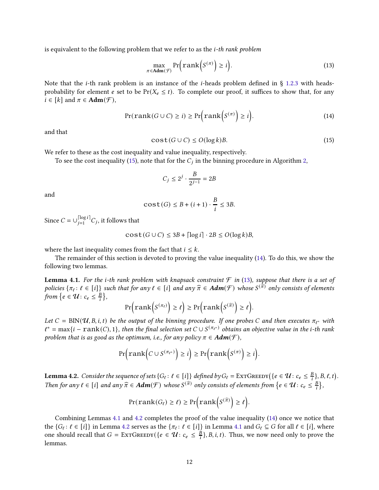is equivalent to the following problem that we refer to as the *i-th rank problem* 

<span id="page-12-2"></span>
$$
\max_{\pi \in \text{Adm}(\mathcal{F})} \Pr\Big(\text{rank}\Big(S^{(\pi)}\Big) \ge i\Big). \tag{13}
$$

Note that the *i*-th rank problem is an instance of the *i*-heads problem defined in § [1.2.3](#page-4-0) with headsprobability for element *e* set to be  $Pr(X_e \leq t)$ . To complete our proof, it suffices to show that, for any  $i \in [k]$  and  $\pi \in \text{Adm}(\mathcal{F}),$ 

<span id="page-12-1"></span>
$$
Pr(\text{rank}(G \cup C) \ge i) \ge Pr\left(\text{rank}\left(S^{(\pi)}\right) \ge i\right). \tag{14}
$$

<span id="page-12-0"></span>and that

$$
\mathbf{cost}(G \cup C) \le O(\log k)B. \tag{15}
$$

We refer to these as the cost inequality and value inequality, respectively.

To see the cost inequality [\(15\)](#page-12-0), note that for the  $C_j$  in the binning procedure in Algorithm [2,](#page-13-0)

$$
C_j \le 2^j \cdot \frac{B}{2^{j-1}} = 2B
$$

and

$$
\text{cost}(G) \le B + (i+1) \cdot \frac{B}{i} \le 3B.
$$

Since  $C = \bigcup_{i=1}^{\lceil \log i \rceil}$  $\sum_{j=1}^{\lfloor \log t \rfloor}$  C<sub>j</sub>, it follows that

$$
\text{cost}(G \cup C) \le 3B + \lceil \log i \rceil \cdot 2B \le O(\log k)B,
$$

where the last inequality comes from the fact that  $i \leq k$ .

<span id="page-12-3"></span>The remainder of this section is devoted to proving the value inequality [\(14\)](#page-12-1). To do this, we show the following two lemmas.

**Lemma 4.1.** For the i-th rank problem with knapsack constraint  $\mathcal F$  in [\(13\)](#page-12-2), suppose that there is a set of policies  $\{\pi_\ell: \ell \in [i]\}$  such that for any  $\ell \in [i]$  and any  $\widehat{\pi} \in \mathbf{Adm}(\mathcal{F})$  whose  $S^{(\widehat{\pi})}$  only consists of elements from  $\{e \in \mathcal{U}: c_e \leq \frac{B}{i}\}$  $\frac{B}{i}$ ,

$$
\Pr\left(\mathrm{rank}\left(S^{(\pi_{\ell})}\right) \geq \ell\right) \geq \Pr\left(\mathrm{rank}\left(S^{(\widehat{\pi})}\right) \geq \ell\right).
$$

Let  $C = BIN(\mathcal{U}, B, i, t)$  be the output of the binning procedure. If one probes C and then executes  $\pi_{\ell^*}$  with  $\ell^* = \max\{i - \text{rank}(C), 1\}$ , then the final selection set  $C \cup S^{(\pi_{\ell^*})}$  obtains an objective value in the i-th rank problem that is as good as the optimum, i.e., for any policy  $\pi \in \text{Adm}(\mathcal{F})$ ,

$$
\Pr\left(\text{rank}\left(C \cup S^{(\pi_{\ell^*})}\right) \geq i\right) \geq \Pr\left(\text{rank}\left(S^{(\pi)}\right) \geq i\right).
$$

<span id="page-12-4"></span>**Lemma 4.2.** Consider the sequence of sets {G<sub>t</sub> :  $\ell \in [i]$ } defined by G<sub>t</sub> = ExtGreed  $\text{G}_\ell$  ({ $e \in \mathcal{U}$  :  $c_e \leq \frac{B}{i}$  $\frac{B}{i}, B, \ell, t$ . Then for any  $\ell \in [i]$  and any  $\widehat{\pi} \in \text{Adm}(\mathcal{F})$  whose  $S^{(\widehat{\pi})}$  only consists of elements from  $\{e \in \mathcal{U} : c_e \leq \frac{B}{i}\}$  $\frac{B}{i}$ ,

$$
\Pr(\text{rank}(G_{\ell}) \geq \ell) \geq \Pr\biggl(\text{rank}\biggl(S^{(\widehat{\pi})}\biggr) \geq \ell\biggr).
$$

Combining Lemmas [4.1](#page-12-3) and [4.2](#page-12-4) completes the proof of the value inequality [\(14\)](#page-12-1) once we notice that the  $\{G_\ell: \ell \in [i]\}$  in Lemma [4.2](#page-12-4) serves as the  $\{\pi_\ell: \ell \in [i]\}$  in Lemma [4.1](#page-12-3) and  $G_\ell \subseteq G$  for all  $\ell \in [i]$ , where one should recall that  $G = \text{EXTGREDY}(\{e \in \mathcal{U} : c_e \leq \frac{B}{i}\})$  $\frac{B}{i}$ }, *B*, *i*, *t*). Thus, we now need only to prove the lemmas.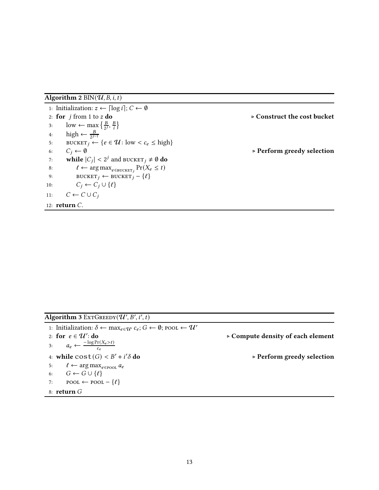<span id="page-13-0"></span>Algorithm 2 BIN( $\mathcal U, B, i, t$ )

1: Initialization:  $z \leftarrow \lceil \log i \rceil$ ;  $C \leftarrow \emptyset$ 2: for  $j$  from 1 to  $z$  do  $\succ$  Construct the cost bucket 3: low ← max  $\left\{\frac{B}{2}\right\}$  $\frac{B}{2^j}, \frac{B}{i}$  $\frac{B}{i}$ 4: high  $\leftarrow \frac{B}{2^{j-1}}$ 5: BUCKET  $_i \leftarrow \{e \in \mathcal{U} : \text{low} < c_e \leq \text{high}\}\$ 6:  $C_i \leftarrow \emptyset$   $\triangleright$  Perform greedy selection 7: while  $|C_j| < 2^j$  and BUCKET  $_j \neq \emptyset$  do 8:  $\ell \leftarrow \arg \max_{e \in \text{BUCKET}_j} \Pr(X_e \leq t)$ 9: BUCKET<sub>j</sub> ← BUCKET<sub>j</sub> – { $\ell$ } 10:  $C_i \leftarrow C_j \cup \{\ell\}$ 11:  $C \leftarrow C \cup C_j$ 12:  $return C.$ 

<span id="page-13-1"></span>Algorithm 3 Ext $G$ REEDY $(\mathcal{U}', B', i', t)$ 

1: Initialization:  $\delta \leftarrow \max_{e \in \mathcal{U}'} c_e$ ;  $G \leftarrow \emptyset$ ; pool  $\leftarrow \mathcal{U}'$ 2: for  $e \in \mathcal{U}'$ 3:  $a_e \leftarrow \frac{-\log \Pr(X_e > t)}{c_e}$  $c_e$ 4: while  $cost(G) < B' + i'$ 5:  $\ell \leftarrow \arg \max_{e \in \text{pool}} a_e$ 6:  $G \leftarrow G \cup \{\ell\}$ 7: POOL ← POOL –  $\{\ell\}$ 8:  $return G$ 

: do ⊲ Compute density of each element

𝛿 do ⊲ Perform greedy selection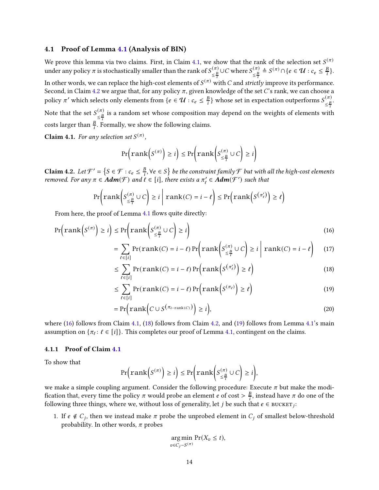#### 4.1 Proof of Lemma [4.1](#page-12-3) (Analysis of BIN)

We prove this lemma via two claims. First, in Claim [4.1,](#page-14-0) we show that the rank of the selection set  $S^{(\pi)}$ under any policy  $\pi$  is stochastically smaller than the rank of  $S^{(\pi)}_{\geq B}$  $\frac{\left(\pi\right)}{\leq \frac{B}{i}}$ ∪C where  $S_{\leq \frac{B}{i}}^{\left(\pi\right)}$  $\frac{(\pi)}{\leq \frac{B}{i}} \triangleq S^{(\pi)} \cap \{e \in \mathcal{U} : c_e \leq \frac{B}{i}\}$  $\frac{B}{i}$ . In other words, we can replace the high-cost elements of  $S^{(\pi)}$  with  $C$  and *strictly* improve its performance. Second, in Claim [4.2](#page-14-1) we argue that, for any policy  $\pi$ , given knowledge of the set C's rank, we can choose a policy  $\pi'$  which selects only elements from { $e \in \mathcal{U} : c_e \leq \frac{B}{i}$  $\frac{B}{i} \}$  whose set in expectation outperforms  $S_{<\underline{B}}^{(\pi)}$  $(\pi)$ <br> $\leq \frac{B}{i}$ Note that the set  $S_{\geq B}^{(\pi)}$  $\frac{\sqrt{n}}{\epsilon}$  is a random set whose composition may depend on the weights of elements with costs larger than  $\frac{B}{i}$ . Formally, we show the following claims.

<span id="page-14-0"></span>**Claim 4.1.** For any selection set  $S^{(\pi)}$ ,

$$
\Pr\left(\text{rank}\left(S^{(\pi)}\right) \geq i\right) \leq \Pr\left(\text{rank}\left(S^{(\pi)}_{\leq \frac{B}{i}} \cup C\right) \geq i\right)
$$

<span id="page-14-1"></span>Claim 4.2. Let  $\mathcal{F}' = \left\{ S \in \mathcal{F} : c_e \leq \frac{B}{i} \right\}$  $\{\frac}{B_i}, \forall e \in S\}$  be the constraint family  ${\mathcal F}$  but with all the high-cost elements removed. For any  $\pi \in \text{Adm}(\mathcal{F})$  and  $\ell \in [i]$ , there exists a  $\pi'_{\ell} \in \text{Adm}(\mathcal{F}')$  such that

$$
\Pr\left(\text{rank}\left(S_{\leq \frac{B}{i}}^{(\pi)} \cup C\right) \geq i \mid \text{rank}(C) = i - \ell\right) \leq \Pr\left(\text{rank}\left(S^{(\pi_{\ell}')}\right) \geq \ell\right)
$$

From here, the proof of Lemma [4.1](#page-12-3) flows quite directly:

$$
\Pr\left(\text{rank}\left(S^{(\pi)}\right) \geq i\right) \leq \Pr\left(\text{rank}\left(S^{(\pi)}_{\leq \frac{R}{i}} \cup C\right) \geq i\right) \tag{16}
$$

<span id="page-14-2"></span>
$$
= \sum_{\ell \in [i]} \Pr(\text{rank}(C) = i - \ell) \Pr\left(\text{rank}\left(S_{\leq \frac{B}{i}}^{(\pi)} \cup C\right) \geq i \mid \text{rank}(C) = i - \ell\right) \tag{17}
$$

$$
\leq \sum_{\ell \in [i]} \Pr(\text{rank}(C) = i - \ell) \Pr\left(\text{rank}\left(S^{\left(\pi'_{\ell}\right)}\right) \geq \ell\right) \tag{18}
$$

<span id="page-14-4"></span><span id="page-14-3"></span>
$$
\leq \sum_{\ell \in [i]} \Pr(\text{rank}(C) = i - \ell) \Pr\left(\text{rank}\left(S^{(\pi_{\ell})}\right) \geq \ell\right) \tag{19}
$$

$$
= \Pr\Big(\text{rank}\Big(C \cup S^{\big(\pi_{i-\text{rank}(C)}\big)}\Big) \geq i\Big),\tag{20}
$$

where [\(16\)](#page-14-2) follows from Claim [4.1,](#page-14-0) [\(18\)](#page-14-3) follows from Claim [4.2,](#page-14-1) and [\(19\)](#page-14-4) follows from Lemma [4.1'](#page-12-3)s main assumption on  $\{\pi_\ell: \ell \in [i]\}$ . This completes our proof of Lemma [4.1,](#page-12-3) contingent on the claims.

#### 4.1.1 Proof of Claim [4.1](#page-14-0)

To show that

$$
\Pr\left(\mathrm{rank}\left(S^{(\pi)}\right) \geq i\right) \leq \Pr\left(\mathrm{rank}\left(S^{(\pi)}_{\leq \frac{B}{i}} \cup C\right) \geq i\right),\right.
$$

we make a simple coupling argument. Consider the following procedure: Execute  $\pi$  but make the modification that, every time the policy  $\pi$  would probe an element *e* of cost  $> \frac{B}{i}$  $\frac{B}{i}$ , instead have  $\pi$  do one of the following three things, where we, without loss of generality, let  $j$  be such that  $e \in \texttt{BUCKET}_j$ :

1. If  $e \notin C_j$ , then we instead make  $\pi$  probe the unprobed element in  $C_j$  of smallest below-threshold probability. In other words,  $\pi$  probes

$$
\underset{v \in C_j - S^{(\pi)}}{\arg \min} \Pr(X_v \le t),
$$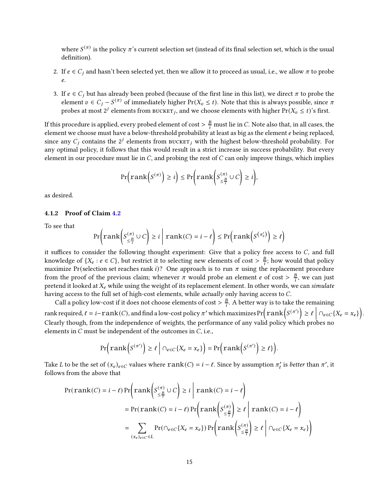where  $S^{(\pi)}$  is the policy  $\pi$ 's current selection set (instead of its final selection set, which is the usual definition).

- 2. If  $e \in C_i$  and hasn't been selected yet, then we allow it to proceed as usual, i.e., we allow  $\pi$  to probe e.
- 3. If  $e \in C_j$  but has already been probed (because of the first line in this list), we direct  $\pi$  to probe the element  $v \in C_j - S^{(\pi)}$  of immediately higher Pr( $X_v \le t$ ). Note that this is always possible, since  $\pi$ probes at most  $2^j$  elements from  $\textsc{boker}_j$ , and we choose elements with higher  $\Pr(X_v \leq t)$ 's first.

If this procedure is applied, every probed element of cost  $> \frac{B}{i}$  must lie in C. Note also that, in all cases, the element we choose must have a below-threshold probability at least as big as the element e being replaced, since any  $C_j$  contains the  $2^j$  elements from  $\text{BUCKET}_j$  with the highest below-threshold probability. For any optimal policy, it follows that this would result in a strict increase in success probability. But every element in our procedure must lie in  $C$ , and probing the rest of  $C$  can only improve things, which implies

$$
\Pr\left(\mathrm{rank}\left(S^{(\pi)}\right) \geq i\right) \leq \Pr\left(\mathrm{rank}\left(S^{(\pi)}_{\leq \frac{B}{i}} \cup C\right) \geq i\right),\right)
$$

as desired.

### 4.1.2 Proof of Claim [4.2](#page-14-1)

To see that

$$
\Pr\left(\mathrm{rank}\left(S^{(\pi)}_{\leq \frac{B}{t}} \cup C\right) \geq i \mid \mathrm{rank}(C) = i - \ell\right) \leq \Pr\left(\mathrm{rank}\left(S^{(\pi_{\ell}')}\right) \geq \ell\right)
$$

it suffices to consider the following thought experiment: Give that a policy free access to  $C$ , and full knowledge of  $\{X_e : e \in C\}$ , but restrict it to selecting new elements of cost  $> \frac{B}{i}$  $\frac{B}{i}$ ; how would that policy maximize Pr(selection set reaches rank i)? One approach is to run  $\pi$  using the replacement procedure from the proof of the previous claim; whenever  $\pi$  would probe an element *e* of cost  $> \frac{B}{i}$  $\frac{B}{i}$ , we can just pretend it looked at  $X_e$  while using the weight of its replacement element. In other words, we can simulate having access to the full set of high-cost elements, while *actually* only having access to C.

Call a policy low-cost if it does not choose elements of cost  $> \frac{B}{i}$  $\frac{B}{i}$ . A better way is to take the remaining rank required,  $\ell = i - \text{rank}(C)$ , and find a low-cost policy  $\pi'$  which maximizes  $Pr\left(\text{rank}\left(S^{(\pi')}\right) \geq \ell \mid \bigcap_{e \in C} \{X_e = x_e\}\right)$ . Clearly though, from the independence of weights, the performance of any valid policy which probes no elements in  $C$  must be independent of the outcomes in  $C$ , i.e.,

$$
\Pr\Big(\text{rank}\Big(S^{(\pi')}\Big) \geq \ell \; \Big| \; \cap_{e \in C} \{X_e = x_e\} \Big) = \Pr\Big(\text{rank}\Big(S^{(\pi')}\Big) \geq \ell\} \Big).
$$

Take L to be the set of  $(x_e)_{e \in C}$  values where  $rank(C) = i - \ell$ . Since by assumption  $\pi'_\ell$  is better than  $\pi'$ , it follows from the above that

$$
\Pr(\text{rank}(C) = i - \ell) \Pr\left(\text{rank}\left(S_{\leq \frac{B}{i}}^{(\pi)} \cup C\right) \geq i \mid \text{rank}(C) = i - \ell\right)
$$
\n
$$
= \Pr(\text{rank}(C) = i - \ell) \Pr\left(\text{rank}\left(S_{\leq \frac{B}{i}}^{(\pi)}\right) \geq \ell \mid \text{rank}(C) = i - \ell\right)
$$
\n
$$
= \sum_{(x_e)_{e \in C} \in L} \Pr(\bigcap_{e \in C} \{X_e = x_e\}) \Pr\left(\text{rank}\left(S_{\leq \frac{B}{i}}^{(\pi)}\right) \geq \ell \mid \bigcap_{e \in C} \{X_e = x_e\}\right)
$$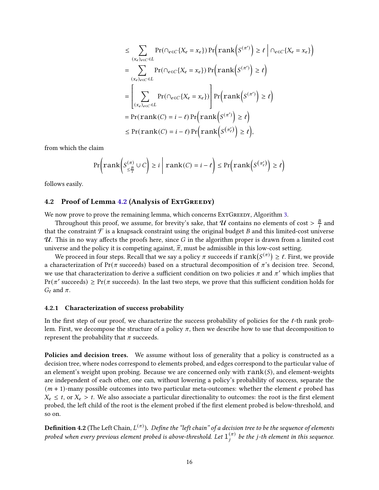$$
\leq \sum_{(x_e)_{e \in C} \in L} \Pr(\cap_{e \in C} \{X_e = x_e\}) \Pr\left(\operatorname{rank}\left(S^{(\pi')}\right) \geq \ell \mid \cap_{e \in C} \{X_e = x_e\}\right)
$$
\n
$$
= \sum_{(x_e)_{e \in C} \in L} \Pr(\cap_{e \in C} \{X_e = x_e\}) \Pr\left(\operatorname{rank}\left(S^{(\pi')}\right) \geq \ell\right)
$$
\n
$$
= \left[\sum_{(x_e)_{e \in C} \in L} \Pr(\cap_{e \in C} \{X_e = x_e\}) \Pr\left(\operatorname{rank}\left(S^{(\pi')}\right) \geq \ell\right)\right]
$$
\n
$$
= \Pr(\operatorname{rank}(C) = i - \ell) \Pr\left(\operatorname{rank}\left(S^{(\pi')}\right) \geq \ell\right)
$$
\n
$$
\leq \Pr(\operatorname{rank}(C) = i - \ell) \Pr\left(\operatorname{rank}\left(S^{(\pi')}\right) \geq \ell\right),
$$

from which the claim

$$
\Pr\left(\text{rank}\left(S_{\leq \frac{B}{i}}^{(\pi)} \cup C\right) \geq i \mid \text{rank}(C) = i - \ell\right) \leq \Pr\left(\text{rank}\left(S^{(\pi_{\ell}')}\right) \geq \ell\right)
$$

follows easily.

### [4.2](#page-12-4) Proof of Lemma 4.2 (Analysis of ExtGREEDY)

We now prove to prove the remaining lemma, which concerns ExtGREEDY, Algorithm [3.](#page-13-1)

Throughout this proof, we assume, for brevity's sake, that  $\mathcal U$  contains no elements of cost  $> \frac{B}{i}$  $\frac{B}{i}$  and that the constraint  $\mathcal F$  is a knapsack constraint using the original budget B and this limited-cost universe  $U$ . This in no way affects the proofs here, since G in the algorithm proper is drawn from a limited cost universe and the policy it is competing against,  $\hat{\pi}$ , must be admissible in this low-cost setting.

We proceed in four steps. Recall that we say a policy  $\pi$  succeeds if  $\text{rank}(S^{(\pi)}) \geq \ell.$  First, we provide a characterization of Pr( $\pi$  succeeds) based on a structural decomposition of  $\pi$ 's decision tree. Second, we use that characterization to derive a sufficient condition on two policies  $\pi$  and  $\pi'$  which implies that  $Pr(\pi' \text{ succeeds}) \geq Pr(\pi \text{ succeeds}).$  In the last two steps, we prove that this sufficient condition holds for  $G_{\ell}$  and  $\pi$ .

#### <span id="page-16-0"></span>4.2.1 Characterization of success probability

In the first step of our proof, we characterize the success probability of policies for the  $\ell$ -th rank problem. First, we decompose the structure of a policy  $\pi$ , then we describe how to use that decomposition to represent the probability that  $\pi$  succeeds.

Policies and decision trees. We assume without loss of generality that a policy is constructed as a decision tree, where nodes correspond to elements probed, and edges correspond to the particular value of an element's weight upon probing. Because we are concerned only with  $rank(S)$ , and element-weights are independent of each other, one can, without lowering a policy's probability of success, separate the  $(m + 1)$ -many possible outcomes into two particular meta-outcomes: whether the element e probed has  $X_e \leq t$ , or  $X_e > t$ . We also associate a particular directionality to outcomes: the root is the first element probed, the left child of the root is the element probed if the first element probed is below-threshold, and so on.

 ${\bf Definition~4.2}$  (The Left Chain,  $L^{(\pi)}$ ). Define the "left chain" of a decision tree to be the sequence of elements probed when every previous element probed is above-threshold. Let  $1^{(\pi)}_i$  $j^{(\pi)}$  be the j-th element in this sequence.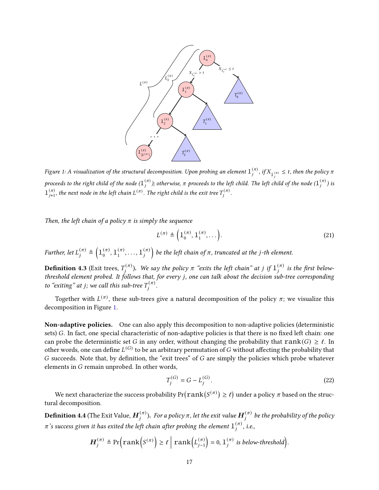<span id="page-17-0"></span>

Figure 1: A visualization of the structural decomposition. Upon probing an element  $1^{(\pi)}_i$  $j^{(\pi)}$ , if  $X_{1^{(\pi)}}\leq t$ , then the policy  $\pi$ proceeds to the right child of the node  $(1^{(\pi)}_i)$  $_{j}^{(\pi)}$  ); otherwise,  $\pi$  proceeds to the left child. The left child of the node  $(1_{j}^{(\pi)})$  $j^{(n)}$ ) is  $1_{j+1}^{(\pi)}$ , the next node in the left chain  $L^{(\pi)}$ . The right child is the exit tree  $T_j^{(\pi)}$  $j^{(n)}$ .

Then, the left chain of a policy  $\pi$  is simply the sequence

$$
L^{(\pi)} \triangleq \left(1_0^{(\pi)}, 1_1^{(\pi)}, \dots\right). \tag{21}
$$

Further, let  $L_i^{(\pi)}$  $\binom{(\pi)}{j} \triangleq \left(1 \binom{\pi}{0} \right)$  $_{0}^{(\pi)},1_{1}^{(\pi)}$  $\overset{(\pi)}{1},\ldots,\overset{(\pi)}{1}$ j ) be the left chain of  $\pi$ , truncated at the j-th element.

**Definition 4.3** (Exit trees,  $T_i^{(\pi)}$  $\hat{g}^{(\pi)}_j$ ). We say the policy  $\pi$  "exits the left chain" at  $j$  if  $1^{(\pi)}_j$  $j^{(\pi)}$  is the first belowthreshold element probed. It follows that, for every j, one can talk about the decision sub-tree corresponding to "exiting" at j; we call this sub-tree  $T_i^{(\pi)}$  $j^{(\pi)}$ .

Together with  $L^{(\pi)}$ , these sub-trees give a natural decomposition of the policy  $\pi;$  we visualize this decomposition in Figure [1.](#page-17-0)

Non-adaptive policies. One can also apply this decomposition to non-adaptive policies (deterministic sets) G. In fact, one special characteristic of non-adaptive policies is that there is no fixed left chain: one can probe the deterministic set G in any order, without changing the probability that  $rank(G) \geq \ell$ . In other words, one can define  $L^{(G)}$  to be an arbitrary permutation of  $G$  without affecting the probability that  $G$  succeeds. Note that, by definition, the "exit trees" of  $G$  are simply the policies which probe whatever elements in  $G$  remain unprobed. In other words,

$$
T_j^{(G)} = G - L_j^{(G)}.
$$
\n(22)

We next characterize the success probability  $\Pr(\mathop{rank}(S^{(\pi)})\geq \ell)$  under a policy  $\pi$  based on the structural decomposition.

**Definition 4.4** (The Exit Value,  $\boldsymbol{H}_i^{(\pi)}$  $_{j}^{(\pi)}$ ). For a policy  $\pi,$  let the exit value  $\boldsymbol{H}_{j}^{(\pi)}$  $j^{(\pi)}$  be the probability of the policy  $\pi$  's success given it has exited the left chain after probing the element  $1^{(\pi)}_i$  $j^{(\pi)}$ , i.e.,

$$
\boldsymbol{H}_j^{(\pi)} \triangleq \Pr\Big(\text{rank}\Big(S^{(\pi)}\Big) \geq \ell \mid \text{rank}\Big(L_{j-1}^{(\pi)}\Big) = 0, \, 1_j^{(\pi)} \text{ is below-threshold}\Big).
$$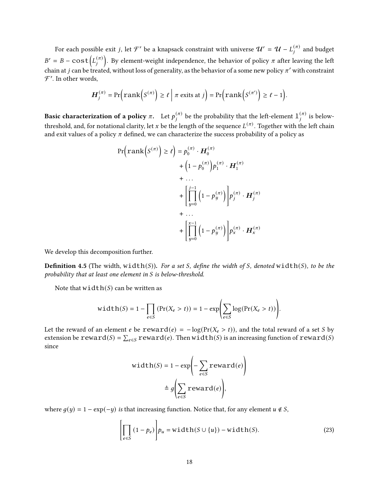For each possible exit *j*, let  $\mathcal{F}'$  be a knapsack constraint with universe  $\mathcal{U}' = \mathcal{U} - L^{(\pi)}_i$  $j^{(\pi)}$  and budget  $B' = B - \cos t \left( L_i^{(\pi)} \right)$ j ). By element-weight independence, the behavior of policy  $\pi$  after leaving the left chain at j can be treated, without loss of generality, as the behavior of a some new policy  $\pi'$  with constraint  $\mathcal{F}'$ . In other words,

$$
\boldsymbol{H}_j^{(\pi)} = \Pr\Big(\text{rank}\Big(S^{(\pi)}\Big) \ge \ell \mid \pi \text{ exits at } j\Big) = \Pr\Big(\text{rank}\Big(S^{(\pi')}\Big) \ge \ell - 1\Big).
$$

Basic characterization of a policy  $\pi.$  Let  $p_{i}^{(\pi)}$  $\bar{\mu}_j^{(\pi)}$  be the probability that the left-element  $1^{(\pi)}_j$  $j^{(\pi)}$  is belowthreshold, and, for notational clarity, let  $x$  be the length of the sequence  $L^{(\pi)}.$  Together with the left chain and exit values of a policy  $\pi$  defined, we can characterize the success probability of a policy as

$$
\Pr\left(\operatorname{rank}\left(S^{(\pi)}\right) \geq \ell\right) = p_0^{(\pi)} \cdot \boldsymbol{H}_0^{(\pi)} + \left(1 - p_0^{(\pi)}\right) p_1^{(\pi)} \cdot \boldsymbol{H}_1^{(\pi)} + \cdots + \left[\prod_{y=0}^{j-1} \left(1 - p_y^{(\pi)}\right)\right] p_j^{(\pi)} \cdot \boldsymbol{H}_j^{(\pi)} + \cdots + \left[\prod_{y=0}^{x-1} \left(1 - p_y^{(\pi)}\right)\right] p_x^{(\pi)} \cdot \boldsymbol{H}_x^{(\pi)}
$$

We develop this decomposition further.

**Definition 4.5** (The width, width(S)). For a set S, define the width of S, denoted width(S), to be the probability that at least one element in  $S$  is below-threshold.

Note that  $width(S)$  can be written as

$$
\text{width}(S) = 1 - \prod_{e \in S} \left( \Pr(X_e > t) \right) = 1 - \exp \left( \sum_{e \in S} \log(\Pr(X_e > t)) \right).
$$

Let the reward of an element e be  $reward(e) = -log(Pr(X_e > t))$ , and the total reward of a set *S* by extension be  $reward(S) = \sum_{e \in S} reward(e)$ . Then width(S) is an increasing function of  $reward(S)$ since

<span id="page-18-0"></span>
$$
width(S) = 1 - exp\left(-\sum_{e \in S} reward(e)\right)
$$

$$
\triangleq g\left(\sum_{e \in S} reward(e)\right),
$$

where  $q(\psi) = 1 - \exp(-\psi)$  is that increasing function. Notice that, for any element  $\psi \notin S$ ,

$$
\left[\prod_{e \in S} (1 - p_e)\right] p_u = \text{width}(S \cup \{u\}) - \text{width}(S). \tag{23}
$$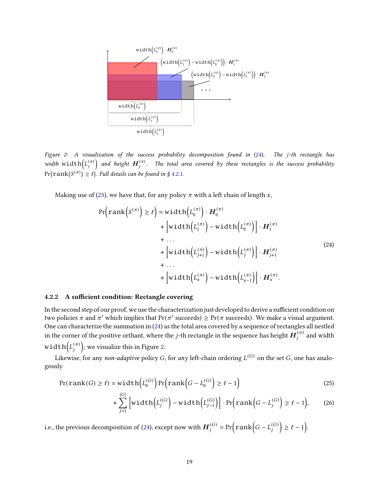<span id="page-19-1"></span>

Figure 2: A visualization of the success probability decomposition found in  $(24)$ . The j-th rectangle has width width $(L_i^{(\pi)})$ j and height  $\boldsymbol{H}_i^{(\pi)}$  $\int_{j}^{(\pi)}$ . The total area covered by these rectangles is the success probability  $\Pr(\mathrm{rank}(S^{(\pi)}) \geq \ell).$  Full details can be found in § [4.2.1.](#page-16-0)

Making use of [\(23\)](#page-18-0), we have that, for any policy  $\pi$  with a left chain of length  $x$ ,

<span id="page-19-0"></span>
$$
\Pr\left(\operatorname{rank}\left(S^{(\pi)}\right) \geq \ell\right) = \operatorname{width}\left(L_{0}^{(\pi)}\right) \cdot \boldsymbol{H}_{0}^{(\pi)} + \left[\operatorname{width}\left(L_{1}^{(\pi)}\right) - \operatorname{width}\left(L_{0}^{(\pi)}\right)\right] \cdot \boldsymbol{H}_{1}^{(\pi)} + \dots + \left[\operatorname{width}\left(L_{j+1}^{(\pi)}\right) - \operatorname{width}\left(L_{j}^{(\pi)}\right)\right] \cdot \boldsymbol{H}_{j+1}^{(\pi)} + \dots + \left[\operatorname{width}\left(L_{x}^{(\pi)}\right) - \operatorname{width}\left(L_{x-1}^{(\pi)}\right)\right] \cdot \boldsymbol{H}_{x}^{(\pi)}.
$$
\n(24)

#### 4.2.2 A sufficient condition: Rectangle covering

In the second step of our proof, we use the characterization just developed to derive a sufficient condition on two policies  $\pi$  and  $\pi'$  which implies that  $Pr(\pi'$  succeeds)  $\geq Pr(\pi$  succeeds). We make a visual argument. One can characterize the summation in [\(24\)](#page-19-0) as the total area covered by a sequence of rectangles all nestled in the corner of the positive orthant, where the  $j$ -th rectangle in the sequence has height  $\boldsymbol{H}_i^{(\pi)}$  $j^{(\pi)}$  and width width $\left( L_{i}^{(\pi)} \right)$ j ); we visualize this in Figure [2.](#page-19-1)

Likewise, for any *non-adaptive* policy  $G$ , for *any* left-chain ordering  $L^{(G)}$  on the set  $G$ , one has analogously

$$
Pr(\text{rank}(G) \ge \ell) = \text{width}\left(L_0^{(G)}\right)Pr\left(\text{rank}\left(G - L_0^{(G)}\right) \ge \ell - 1\right) \tag{25}
$$

$$
+\sum_{j=1}^{|G|} \left[width\left(L_j^{(G)}\right) - width\left(L_{j-1}^{(G)}\right)\right] \cdot Pr\left(rank\left(G - L_j^{(G)}\right) \ge \ell - 1\right),\tag{26}
$$

i.e., the previous decomposition of [\(24\)](#page-19-0), except now with  $\boldsymbol{H}^{(G)}_i$  $j^{(G)}$  = Pr $\left(\text{rank}\left(G-L_j^{(G)}\right)\right)$ j  $\geq \ell-1$ .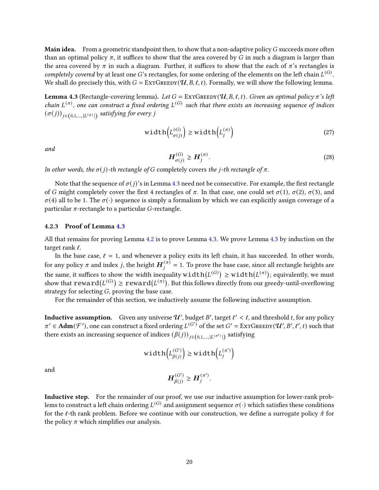**Main idea.** From a geometric standpoint then, to show that a non-adaptive policy  $G$  succeeds more often than an optimal policy  $\pi$ , it suffices to show that the area covered by G in such a diagram is larger than the area covered by  $\pi$  in such a diagram. Further, it suffices to show that the each of  $\pi$ 's rectangles is completely covered by at least one G's rectangles, for some ordering of the elements on the left chain  $L^{(G)}$ . We shall do precisely this, with  $G = \text{EXTGREDY}(\mathcal{U}, B, \ell, t)$ . Formally, we will show the following lemma.

<span id="page-20-0"></span>**Lemma 4.3** (Rectangle-covering lemma). Let  $G = \text{EXTGREDY}(\mathcal{U}, B, \ell, t)$ . Given an optimal policy  $\pi$ 's left chain  $L^{(\pi)}$ , one can construct a fixed ordering  $L^{(G)}$  such that there exists an increasing sequence of indices  $\left(\sigma(j)\right)_{j\in\left(0,1,\dots,\left|L^{\left(\pi\right)}\right|\right)}$  satisfying for every  $j$ 

$$
\text{width}\left(L_{\sigma(j)}^{(G)}\right) \ge \text{width}\left(L_j^{(\pi)}\right) \tag{27}
$$

and

$$
\boldsymbol{H}_{\sigma(j)}^{(G)} \ge \boldsymbol{H}_j^{(\pi)}.\tag{28}
$$

In other words, the  $\sigma(j)$ -th rectangle of G completely covers the j-th rectangle of  $\pi$ .

Note that the sequence of  $\sigma(j)$ 's in Lemma [4.3](#page-20-0) need not be consecutive. For example, the first rectangle of G might completely cover the first 4 rectangles of  $\pi$ . In that case, one could set  $\sigma(1)$ ,  $\sigma(2)$ ,  $\sigma(3)$ , and  $\sigma$ (4) all to be 1. The  $\sigma(\cdot)$  sequence is simply a formalism by which we can explicitly assign coverage of a particular  $\pi$ -rectangle to a particular G-rectangle.

#### 4.2.3 Proof of Lemma [4.3](#page-20-0)

All that remains for proving Lemma [4.2](#page-12-4) is to prove Lemma [4.3.](#page-20-0) We prove Lemma [4.3](#page-20-0) by induction on the target rank  $\ell$ .

In the base case,  $\ell = 1$ , and whenever a policy exits its left chain, it has succeeded. In other words, for any policy  $\pi$  and index  $j,$  the height  $\boldsymbol{H}^{(\pi)}_i$  $\binom{(\pi)}{j}$  = 1. To prove the base case, since all rectangle heights are the same, it suffices to show the width inequality  $\textnormal{width}(L^{(G)})\geq \textnormal{width}(L^{(\pi)});$  equivalently, we must show that  $\mathtt{reward}(L^{(G)}) \ge \mathtt{reward}(L^{(\pi)}).$  But this follows directly from our greedy-until-overflowing strategy for selecting  $G$ , proving the base case.

For the remainder of this section, we inductively assume the following inductive assumption.

**Inductive assumption.** Given any universe  $\mathcal{U}'$ , budget B', target  $\ell' < \ell$ , and threshold t, for any policy  $\pi' \in \text{Adm}(\mathcal{F}')$ , one can construct a fixed ordering  $L^{(G')}$  of the set  $G' = \text{EXTGREDY}(\mathcal{U}', B', \ell', t)$  such that there exists an increasing sequence of indices  $(\beta(j))_{j\in\left(0,1,\ldots,|L^{(\pi')}| \right)}$  satisfying

$$
\text{width}\Big(L_{\beta(j)}^{(G')}\Big) \ge \text{width}\Big(L_j^{(\pi')}\Big)
$$

and

$$
\boldsymbol{H}_{\beta(j)}^{(G')}\geq \boldsymbol{H}_j^{(\pi')}.
$$

Inductive step. For the remainder of our proof, we use our inductive assumption for lower-rank problems to construct a left chain ordering  $L^{(G)}$  and assignment sequence  $\sigma(\cdot)$  which satisfies these conditions for the  $\ell$ -th rank problem. Before we continue with our construction, we define a surrogate policy  $\tilde{\pi}$  for the policy  $\pi$  which simplifies our analysis.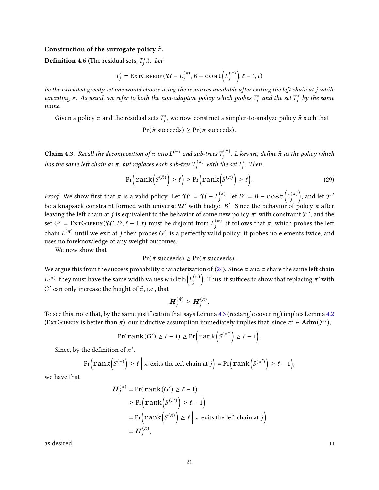#### Construction of the surrogate policy  $\tilde{\pi}$ .

**Definition 4.6** (The residual sets,  $T_j^*$ .). Let

$$
T_j^* = \text{EXTGreeby}(\mathcal{U} - L_j^{(\pi)}, B - \text{cost}\left(L_j^{(\pi)}\right), \ell - 1, t)
$$

be the extended greedy set one would choose using the resources available after exiting the left chain at j while executing  $\pi$ . As usual, we refer to both the non-adaptive policy which probes  $T_j^*$  and the set  $T_j^*$  by the same name.

Given a policy  $\pi$  and the residual sets  $T^*_j$ , we now construct a simpler-to-analyze policy  $\tilde{\pi}$  such that

## $Pr(\tilde{\pi} \text{ succeeds}) \geq Pr(\pi \text{ succeeds}).$

**Claim 4.3.** Recall the decomposition of  $\pi$  into  $L^{(\pi)}$  and sub-trees  $T_i^{(\pi)}$  $\hat{y}^{(\pi)}$ . Likewise, define  $\tilde{\pi}$  as the policy which has the same left chain as  $\pi,$  but replaces each sub-tree  $T_j^{(\pi)}$  with the set  $T_j^*.$  Then,

$$
\Pr\left(\operatorname{rank}\left(S^{(\tilde{\pi})}\right) \geq \ell\right) \geq \Pr\left(\operatorname{rank}\left(S^{(\pi)}\right) \geq \ell\right). \tag{29}
$$

*Proof.* We show first that  $\tilde{\pi}$  is a valid policy. Let  $\mathcal{U}' = \mathcal{U} - L_i^{(\pi)}$  $j^{(\pi)}$ , let  $B' = B - \cos t (L_j^{(\pi)})$ j ), and let  $\mathcal{F}'$ be a knapsack constraint formed with universe  ${\cal U}'$  with budget  $B'$ . Since the behavior of policy  $\pi$  after leaving the left chain at  $j$  is equivalent to the behavior of some new policy  $\pi'$  with constraint  $\mathcal{F}',$  and the set  $G' = \text{EXTGREDY}(\mathcal{U}', B', \ell - 1, t)$  must be disjoint from  $L_i^{(\pi)}$  $\hat{\pi}^{(\pi)}_{j}$ , it follows that  $\tilde{\pi}$ , which probes the left chain  $L^{(\pi)}$  until we exit at  $j$  then probes  $G'$ , is a perfectly valid policy; it probes no elements twice, and uses no foreknowledge of any weight outcomes.

We now show that

$$
Pr(\tilde{\pi} \text{ succeeds}) \geq Pr(\pi \text{ succeeds}).
$$

We argue this from the success probability characterization of [\(24\)](#page-19-0). Since  $\tilde{\pi}$  and  $\pi$  share the same left chain  $L^{(\pi)}$ , they must have the same width values width  $\left( L^{(\pi)}_i \right)$ j ). Thus, it suffices to show that replacing  $\pi'$  with G' can only increase the height of  $\tilde{\pi}$ , i.e., that

$$
\boldsymbol{H}_{j}^{(\tilde{\pi})}\geq \boldsymbol{H}_{j}^{(\pi)}.
$$

To see this, note that, by the same justification that says Lemma [4.3](#page-20-0) (rectangle covering) implies Lemma [4.2](#page-12-4) (EXTGREEDY is better than  $\pi$ ), our inductive assumption immediately implies that, since  $\pi' \in \text{Adm}(\mathcal{F}')$ ,

$$
Pr(\text{rank}(G') \ge \ell - 1) \ge \Pr\Big(\text{rank}\Big(S^{(\pi')}\Big) \ge \ell - 1\Big).
$$

Since, by the definition of  $\pi'$ ,

$$
\Pr\left(\text{rank}\left(S^{(\pi)}\right) \ge \ell \mid \pi \text{ exits the left chain at } j\right) = \Pr\left(\text{rank}\left(S^{(\pi')}\right) \ge \ell - 1\right),
$$

we have that

$$
H_j^{(\pi)} = \Pr(\text{rank}(G') \ge \ell - 1)
$$
  
\n
$$
\ge \Pr(\text{rank}\left(S^{(\pi')}\right) \ge \ell - 1)
$$
  
\n
$$
= \Pr(\text{rank}\left(S^{(\pi)}\right) \ge \ell \mid \pi \text{ exits the left chain at } j)
$$
  
\n
$$
= H_j^{(\pi)},
$$

as desired.  $\Box$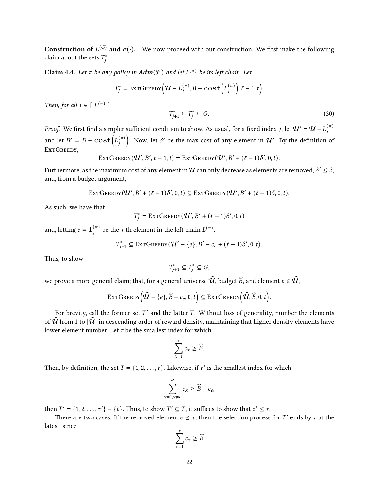**Construction of**  $L^{(G)}$  and  $\sigma(\cdot)$ . We now proceed with our construction. We first make the following claim about the sets  $T_j^*$ .

**Claim 4.4.** Let  $\pi$  be any policy in  $\text{Adm}(\mathcal{F})$  and let  $L^{(\pi)}$  be its left chain. Let

$$
T_j^* = \text{EXTGreeby}\Big(\mathcal{U} - L_j^{(\pi)}, B - \text{cost}\Big(L_j^{(\pi)}\Big), \ell - 1, t\Big).
$$

Then, for all  $j \in [|L^{(\pi)}|]$ 

$$
T_{j+1}^* \subseteq T_j^* \subseteq G. \tag{30}
$$

*Proof.* We first find a simpler sufficient condition to show. As usual, for a fixed index  $j$ , let  $\mathcal{U}'=\mathcal{U}-L^{(\pi)}_i$ j and let  $B' = B - \cos t \left( L_i^{(\pi)} \right)$ j ). Now, let  $\delta'$  be the max cost of any element in  $\mathcal{U}'$ . By the definition of EXTGREEDY,

$$
\text{EXTGREDY}(\mathcal{U}', B', \ell - 1, t) = \text{EXTGREDY}(\mathcal{U}', B' + (\ell - 1)\delta', 0, t).
$$

Furthermore, as the maximum cost of any element in  $\cal U$  can only decrease as elements are removed,  $\delta'\leq\delta,$ and, from a budget argument,

$$
\text{ExrGreenv}(\mathcal{U}', B' + (\ell - 1)\delta', 0, t) \subseteq \text{ExrGreenv}(\mathcal{U}', B' + (\ell - 1)\delta, 0, t).
$$

As such, we have that

$$
T_j^* = \text{EXTGreeby}(\mathcal{U}', B' + (\ell - 1)\delta', 0, t)
$$

and, letting  $e = \mathbb{1}_{i}^{(\pi)}$  $\bar{f}^{(\pi)}$  be the *j*-th element in the left chain  $L^{(\pi)},$ 

$$
T_{j+1}^* \subseteq \text{EXTGreeby}(\mathcal{U}' - \{e\}, B' - c_e + (\ell - 1)\delta', 0, t).
$$

Thus, to show

$$
T_{j+1}^* \subseteq T_j^* \subseteq G,
$$

we prove a more general claim; that, for a general universe  $\widehat{u}$ , budget  $\widehat{B}$ , and element  $e \in \widehat{u}$ ,

$$
\text{ExtGreenv}\Big(\widehat{\mathcal{U}} - \{e\}, \widehat{B} - c_e, 0, t\Big) \subseteq \text{ExtGreenv}\Big(\widehat{\mathcal{U}}, \widehat{B}, 0, t\Big).
$$

For brevity, call the former set  $T'$  and the latter  $T$ . Without loss of generality, number the elements of  $\widehat{U}$  from 1 to  $|\widehat{U}|$  in descending order of reward density, maintaining that higher density elements have lower element number. Let  $\tau$  be the smallest index for which

$$
\sum_{x=1}^{\tau} c_x \ge \widehat{B}.
$$

Then, by definition, the set  $T = \{1, 2, ..., \tau\}$ . Likewise, if  $\tau'$  is the smallest index for which

$$
\sum_{x=1, x\neq e}^{t'} c_x \ge \widehat{B} - c_e,
$$

then  $T' = \{1, 2, ..., \tau'\} - \{e\}$ . Thus, to show  $T' \subseteq T$ , it suffices to show that  $\tau' \leq \tau$ .

There are two cases. If the removed element  $e \leq \tau$ , then the selection process for T' ends by  $\tau$  at the latest, since

$$
\sum_{x=1}^{\tau} c_x \ge \widehat{B}
$$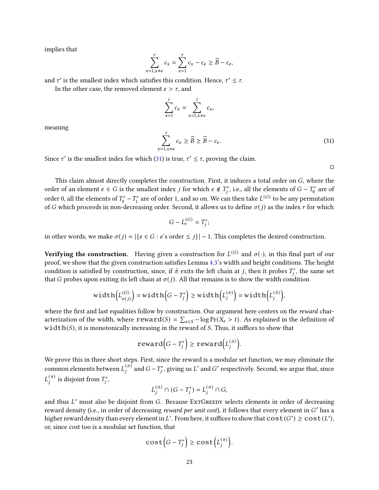implies that

$$
\sum_{x=1, x\neq e}^{\tau} c_x = \sum_{x=1}^{\tau} c_x - c_e \ge \widehat{B} - c_e,
$$

and  $\tau'$  is the smallest index which satisfies this condition. Hence,  $\tau' \leq \tau$ .

In the other case, the removed element  $e > \tau$ , and

$$
\sum_{x=1}^{\tau} c_x = \sum_{x=1, x \neq e}^{\tau} c_x,
$$

<span id="page-23-0"></span>meaning

$$
\sum_{=1, x \neq e}^{T} c_x \ge \widehat{B} \ge \widehat{B} - c_e. \tag{31}
$$

Since  $\tau'$  is the smallest index for which [\(31\)](#page-23-0) is true,  $\tau' \leq \tau$ , proving the claim.

 $\mathbf{x}$ 

 $\Box$ 

This claim almost directly completes the construction. First, it induces a total order on  $G$ , where the order of an element  $e \in G$  is the smallest index  $j$  for which  $e \notin T^*_j$ , i.e., all the elements of  $G - T^*_0$  are of order 0, all the elements of  $T_0^* - T_1^*$  are of order 1, and so on. We can then take  $L^{(G)}$  to be any permutation of G which proceeds in non-decreasing order. Second, it allows us to define  $\sigma(j)$  as the index r for which

$$
G-L_r^{(G)}=T_j^*;
$$

in other words, we make  $\sigma(j) = |\{e \in G : e \text{'s order} \leq j\}| - 1$ . This completes the desired construction.

Verifying the construction. Having given a construction for  $L^{(G)}$  and  $\sigma(\cdot)$ , in this final part of our proof, we show that the given construction satisfies Lemma [4.3'](#page-20-0)s width and height conditions. The height condition is satisfied by construction, since, if  $\tilde{\pi}$  exits the left chain at  $j$ , then it probes  $T^*_j$ , the same set that G probes upon exiting its left chain at  $\sigma(j)$ . All that remains is to show the width condition

$$
\text{width}\Big(L_{\sigma(j)}^{(G)}\Big) = \text{width}\Big(G - T_j^*\Big) \ge \text{width}\Big(L_j^{(\pi)}\Big) = \text{width}\Big(L_j^{(\tilde{\pi})}\Big),
$$

where the first and last equalities follow by construction. Our argument here centers on the reward characterization of the width, where  $reward(S) = \sum_{e \in S} - \log Pr(X_e > t)$ . As explained in the definition of  $width(S)$ , it is monotonically increasing in the reward of S. Thus, it suffices to show that

$$
\mathbf{reward}\Big(G - T_j^*\Big) \ge \mathbf{reward}\Big(L_j^{(\pi)}\Big).
$$

We prove this in three short steps. First, since the reward is a modular set function, we may eliminate the common elements between  $L_i^{(\pi)}$  $_{j}^{(\pi)}$  and  $G$  –  $T_{j}^{*},$  giving us  $L'$  and  $G'$  respectively. Second, we argue that, since  $L_i^{(\pi)}$  $j^{(\pi)}$  is disjoint from  $T^*_j$ ,

$$
L_j^{(\pi)} \cap (G - T_j^*) = L_j^{(\pi)} \cap G,
$$

and thus L' must also be disjoint from G. Because ExTGREEDY selects elements in order of decreasing reward density (i.e., in order of decreasing *reward per unit cost*), it follows that every element in G' has a higher reward density than every element in L'. From here, it suffices to show that  $cost(G') \ge cost(L')$ , or, since cost too is a modular set function, that

$$
\mathrm{cost}\Big(G - T_j^*\Big) \ge \mathrm{cost}\Big(L_j^{(\pi)}\Big).
$$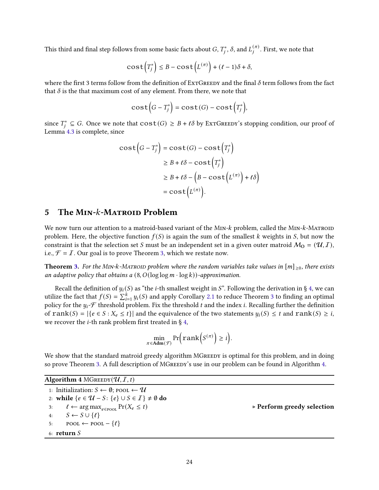This third and final step follows from some basic facts about  $G, T^*_j, \delta,$  and  $L^{(\pi)}_j$  $j^{(\pi)}$ . First, we note that

$$
\cos\mathsf{t}\left(T_j^*\right) \leq B - \cos\mathsf{t}\left(L^{(\pi)}\right) + (\ell - 1)\delta + \delta,
$$

where the first 3 terms follow from the definition of ExtGreedy and the final  $\delta$  term follows from the fact that  $\delta$  is the that maximum cost of any element. From there, we note that

$$
\cos t \Big( G - T_j^* \Big) = \cos t (G) - \cos t \Big( T_j^* \Big),
$$

since  $T_j^* \subseteq G$ . Once we note that  $cost(G) \geq B + \ell \delta$  by ExtGreen is stopping condition, our proof of Lemma [4.3](#page-20-0) is complete, since

$$
\begin{aligned} \text{cost}\Big(G - T_j^*\Big) &= \text{cost}(G) - \text{cost}\Big(T_j^*\Big) \\ &\ge B + \ell\delta - \text{cost}\Big(T_j^*\Big) \\ &\ge B + \ell\delta - \Big(B - \text{cost}\Big(L^{(\pi)}\Big) + \ell\delta\Big) \\ &= \text{cost}\Big(L^{(\pi)}\Big). \end{aligned}
$$

## 5 The MIN-k-MATROID Problem

We now turn our attention to a matroid-based variant of the  $M_{IN}$ - $k$  problem, called the  $M_{IN}$ - $k$ -Matroid problem. Here, the objective function  $f(S)$  is again the sum of the smallest k weights in S, but now the constraint is that the selection set S must be an independent set in a given outer matroid  $M_0 = (U, I)$ , i.e.,  $\mathcal{F} = I$ . Our goal is to prove Theorem [3,](#page-2-3) which we restate now.

**Theorem [3.](#page-2-3)** For the MIN-k-MATROID problem where the random variables take values in  $[m]_{\geq 0}$ , there exists an adaptive policy that obtains a  $(8, O(\log \log m \cdot \log k))$ -approximation.

Recall the definition of  $y_i(S)$  as "the *i*-th smallest weight in S". Following the derivation in § [4,](#page-11-0) we can utilize the fact that  $f(S) = \sum_{i=1}^{k} y_i(S)$  and apply Corollary [2.1](#page-6-1) to reduce Theorem [3](#page-2-3) to finding an optimal policy for the  $y_i$ - $\mathcal F$  threshold problem. Fix the threshold  $t$  and the index  $i$ . Recalling further the definition of  $rank(S) = |\{e \in S : X_e \le t\}|$  and the equivalence of the two statements  $y_i(S) \le t$  and  $rank(S) \ge i$ , we recover the *i*-th rank problem first treated in § [4,](#page-11-0)

$$
\min_{\pi \in \text{Adm}(\mathcal{F})} \Pr\Big(\text{rank}\Big(S^{(\pi)}\Big) \geq i\Big).
$$

We show that the standard matroid greedy algorithm MGREEDY is optimal for this problem, and in doing so prove Theorem [3.](#page-2-3) A full description of MGREEDY's use in our problem can be found in Algorithm [4.](#page-24-0)

<span id="page-24-0"></span>

| Algorithm 4 MGREEDY $(\mathcal{U}, I, t)$ |  |
|-------------------------------------------|--|
|                                           |  |

<span id="page-24-1"></span>1: Initialization:  $S \leftarrow \emptyset$ ; pool  $\leftarrow \mathcal{U}$ 2: while  $\{e \in \mathcal{U} - S: \{e\} \cup S \in \mathcal{I}\}\neq \emptyset$  do 3:  $\ell \leftarrow \arg \max_{e \in \text{pool}} \Pr(X_e \leq t)$   $\triangleright \text{Perform greedy selection}$ 4:  $S \leftarrow S \cup \{\ell\}$ 5: POOL ← POOL –  $\{\ell\}$ 6: return  $S$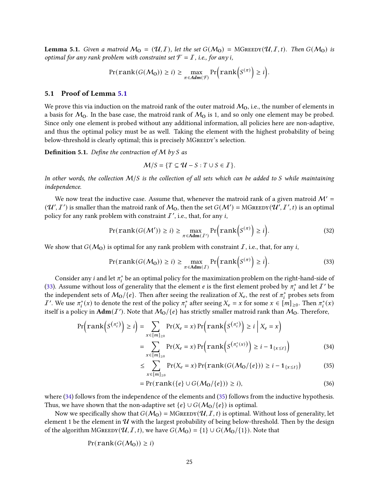**Lemma 5.1.** Given a matroid  $M_0 = (\mathcal{U}, I)$ , let the set  $G(M_0) = MG$ REEDY $(\mathcal{U}, I, t)$ . Then  $G(M_0)$  is optimal for any rank problem with constraint set  $\mathcal{F} = I$ , i.e., for any i,

$$
Pr(\text{rank}(G(\mathcal{M}_0)) \geq i) \geq \max_{\pi \in \text{Adm}(\mathcal{F})} Pr\Big(\text{rank}\Big(S^{(\pi)}\Big) \geq i\Big).
$$

### 5.1 Proof of Lemma [5.1](#page-24-1)

We prove this via induction on the matroid rank of the outer matroid  $M_0$ , i.e., the number of elements in a basis for  $M_0$ . In the base case, the matroid rank of  $M_0$  is 1, and so only one element may be probed. Since only one element is probed without any additional information, all policies here are non-adaptive, and thus the optimal policy must be as well. Taking the element with the highest probability of being below-threshold is clearly optimal; this is precisely MGREEDY's selection.

**Definition 5.1.** Define the contraction of M by S as

<span id="page-25-3"></span><span id="page-25-0"></span>
$$
\mathcal{M}/S = \{ T \subseteq \mathcal{U} - S : T \cup S \in \mathcal{I} \}.
$$

In other words, the collection  $M/S$  is the collection of all sets which can be added to S while maintaining independence.

We now treat the inductive case. Assume that, whenever the matroid rank of a given matroid  $\mathcal{M}' =$  $(\mathcal{U}', I')$  is smaller than the matroid rank of  $\mathcal{M}_0$ , then the set  $G(\mathcal{M}') = MG$ REEDY $(\mathcal{U}', I', t)$  is an optimal policy for any rank problem with constraint  $I'$ , i.e., that, for any i,

$$
\Pr(\text{rank}(G(\mathcal{M}')) \ge i) \ge \max_{\pi \in \text{Adm}(I')} \Pr\Big(\text{rank}\Big(S^{(\pi)}\Big) \ge i\Big). \tag{32}
$$

We show that  $G(M<sub>O</sub>)$  is optimal for any rank problem with constraint I, i.e., that, for any i,

$$
Pr(\text{rank}(G(\mathcal{M}_0)) \ge i) \ge \max_{\pi \in \text{Adm}(I)} Pr\Big(\text{rank}\Big(S^{(\pi)}\Big) \ge i\Big). \tag{33}
$$

Consider any  $i$  and let  $\pi_i^*$  be an optimal policy for the maximization problem on the right-hand-side of [\(33\)](#page-25-0). Assume without loss of generality that the element  $e$  is the first element probed by  $\pi_i^*$  and let  $I'$  be the independent sets of  $M_0/\{e\}$ . Then after seeing the realization of  $X_e$ , the rest of  $\pi_i^*$  probes sets from *I'*. We use  $\pi_i^*(x)$  to denote the rest of the policy  $\pi_i^*$  after seeing  $X_e = x$  for some  $x \in [m]_{\geq 0}$ . Then  $\pi_i^*(x)$ itself is a policy in  $\text{Adm}(I')$ . Note that  $\mathcal{M}_0/\{e\}$  has strictly smaller matroid rank than  $\mathcal{M}_0$ . Therefore,

$$
\Pr\left(\operatorname{rank}\left(S^{\left(\pi_{i}^{*}\right)}\right) \geq i\right) = \sum_{x \in [m]_{\geq 0}} \Pr(X_{e} = x) \Pr\left(\operatorname{rank}\left(S^{\left(\pi_{i}^{*}\right)}\right) \geq i \mid X_{e} = x\right)
$$
\n
$$
= \sum_{x \in [m]_{\geq 0}} \Pr(X_{e} = x) \Pr\left(\operatorname{rank}\left(S^{\left(\pi_{i}^{*}\left(x\right)}\right)\right) \geq i - 1_{\{x \leq t\}}\right) \tag{34}
$$

<span id="page-25-2"></span><span id="page-25-1"></span>
$$
\leq \sum_{x \in [m]_{\geq 0}} \Pr(X_e = x) \Pr\big(\text{rank}(G(\mathcal{M}_0/\{e\})) \geq i - 1_{\{x \leq t\}}\big) \tag{35}
$$

<span id="page-25-4"></span>
$$
= \Pr(\text{rank}(\{e\} \cup G(\mathcal{M}_0/\{e\})) \ge i),\tag{36}
$$

where [\(34\)](#page-25-1) follows from the independence of the elements and [\(35\)](#page-25-2) follows from the inductive hypothesis. Thus, we have shown that the non-adaptive set  $\{e\} \cup G(M_0/\{e\})$  is optimal.

Now we specifically show that  $G(M_0) = M$ GREEDY $(\mathcal{U}, I, t)$  is optimal. Without loss of generality, let element 1 be the element in  $U$  with the largest probability of being below-threshold. Then by the design of the algorithm MGREEDY( $(U, \mathcal{I}, t)$ , we have  $G(\mathcal{M}_0) = \{1\} \cup G(\mathcal{M}_0/\{1\})$ . Note that

$$
Pr(\text{rank}(G(\mathcal{M}_0)) \geq i)
$$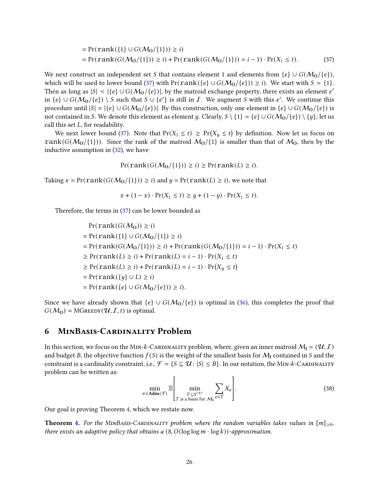$$
= \Pr(\text{rank}(\{1\} \cup G(\mathcal{M}_0/\{1\})) \ge i)
$$
  
= \Pr(\text{rank}(G(\mathcal{M}\_0/\{1\})) \ge i) + \Pr(\text{rank}(G(\mathcal{M}\_0/\{1\})) = i - 1) \cdot \Pr(X\_1 \le i). (37)

We next construct an independent set S that contains element 1 and elements from  $\{e\} \cup G(M_0/\{e\})$ , which will be used to lower bound [\(37\)](#page-26-0) with Pr( $rank({e} \cup G(M_0/{e})) \ge i$ ). We start with  $S = \{1\}$ . Then as long as  $|S| < |\{e\} \cup G(\mathcal{M}_0/\{e\})|$ , by the matroid exchange property, there exists an element e' in  $\{e\} \cup G(M_0/\{e\}) \setminus S$  such that  $S \cup \{e'\}$  is still in  $\mathcal{I}$ . We augment  $S$  with this  $e'$ . We continue this procedure until  $|S| = |\{e\} \cup G(M_0/\{e\})|$ . By this construction, only one element in  $\{e\} \cup G(M_0/\{e\})$  is not contained in S. We denote this element as element y. Clearly,  $S \setminus \{1\} = \{e\} \cup G(\mathcal{M}_0/\{e\}) \setminus \{y\}$ ; let us call this set  $L$ , for readability.

We next lower bound [\(37\)](#page-26-0). Note that  $Pr(X_1 \le t) \ge Pr(X_y \le t)$  by definition. Now let us focus on rank( $G(M_0/\{1\})$ ). Since the rank of the matroid  $M_0/\{1\}$  is smaller than that of  $M_0$ , then by the inductive assumption in [\(32\)](#page-25-3), we have

<span id="page-26-0"></span> $Pr(\text{rank}(G(\mathcal{M}_0/\{1\})) \geq i) \geq Pr(\text{rank}(L) \geq i).$ 

Taking  $x = Pr(rank(G(M<sub>0</sub>/{1}))) \ge i)$  and  $y = Pr(rank(L) \ge i)$ , we note that

$$
x + (1 - x) \cdot \Pr(X_1 \le t) \ge y + (1 - y) \cdot \Pr(X_1 \le t).
$$

Therefore, the terms in [\(37\)](#page-26-0) can be lower bounded as

$$
\Pr(\text{rank}(G(M_0)) \ge i)
$$
\n
$$
= \Pr(\text{rank}(\{1\} \cup G(M_0/\{1\}) \ge i))
$$
\n
$$
= \Pr(\text{rank}(G(M_0/\{1\})) \ge i) + \Pr(\text{rank}(G(M_0/\{1\})) = i - 1) \cdot \Pr(X_1 \le t)
$$
\n
$$
\ge \Pr(\text{rank}(L) \ge i) + \Pr(\text{rank}(L) = i - 1) \cdot \Pr(X_1 \le t)
$$
\n
$$
\ge \Pr(\text{rank}(L) \ge i) + \Pr(\text{rank}(L) = i - 1) \cdot \Pr(X_y \le t)
$$
\n
$$
= \Pr(\text{rank}(\{y\} \cup L) \ge i)
$$
\n
$$
= \Pr(\text{rank}(\{e\} \cup G(M_0/\{e\})) \ge i).
$$

Since we have already shown that  $\{e\} \cup G(M_0/\{e\})$  is optimal in [\(36\)](#page-25-4), this completes the proof that  $G(M<sub>O</sub>) = MG$ REEDY $(\mathcal{U}, I, t)$  is optimal.

## 6 MinBasis-Cardinality Problem

In this section, we focus on the MIN-k-CARDINALITY problem, where, given an inner matroid  $M_I = (\mathcal{U}, I)$ and budget B, the objective function  $f(S)$  is the weight of the smallest basis for  $\mathcal{M}_I$  contained in S and the constraint is a cardinality constraint, i.e.,  $\mathcal{F} = \{S \subseteq \mathcal{U} : |S| \leq B\}$ . In our notation, the MIN-k-CARDINALITY problem can be written as:

$$
\min_{\pi \in \mathbf{Adm}(\mathcal{F})} \mathbb{E} \left[ \min_{\substack{T \subseteq S^{(\pi)} \\ T \text{ is a basis for } \mathcal{M}_1}} \sum_{e \in T} X_e \right]. \tag{38}
$$

Our goal is proving Theorem [4,](#page-2-4) which we restate now.

**Theorem [4.](#page-2-4)** For the MINBASIS-CARDINALITY problem where the random variables takes values in  $[m]_{\geq 0}$ , there exists an adaptive policy that obtains a  $(8, O(\log \log m \cdot \log k))$ -approximation.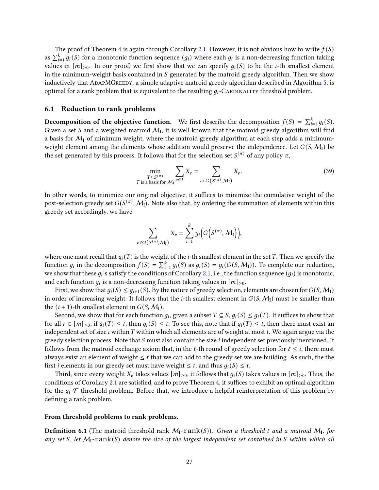The proof of Theorem [4](#page-2-4) is again through Corollary [2.1.](#page-6-1) However, it is not obvious how to write  $f(S)$ as  $\sum_{i=1}^{k} g_i(S)$  for a monotonic function sequence  $(g_i)$  where each  $g_i$  is a non-decreasing function taking values in  $[m]_{>0}$ . In our proof, we first show that we can specify  $q_i(S)$  to be the *i*-th smallest element in the minimum-weight basis contained in  $S$  generated by the matroid greedy algorithm. Then we show inductively that AdapMGreedy, a simple adaptive matroid greedy algorithm described in Algorithm [5,](#page-28-0) is optimal for a rank problem that is equivalent to the resulting  $q_i$ -Cardinality threshold problem.

#### 6.1 Reduction to rank problems

**Decomposition of the objective function.** We first describe the decomposition  $f(S) = \sum_{i=1}^{k} g_i(S)$ . Given a set S and a weighted matroid  $M_I$ , it is well known that the matroid greedy algorithm will find a basis for  $M_{\rm I}$  of minimum weight, where the matroid greedy algorithm at each step adds a minimumweight element among the elements whose addition would preserve the independence. Let  $G(S, \mathcal{M}_I)$  be the set generated by this process. It follows that for the selection set  $S^{(\pi)}$  of any policy  $\pi,$ 

$$
\min_{\substack{T \subseteq S^{(\pi)} \\ T \text{ is a basis for } \mathcal{M}_I}} \sum_{e \in T} X_e = \sum_{e \in G(S^{(\pi)}, \mathcal{M}_I)} X_e.
$$
\n(39)

In other words, to minimize our original objective, it suffices to minimize the cumulative weight of the post-selection greedy set  $G(S^{(\pi)}, {\cal M}_\mathrm{I})$ . Note also that, by ordering the summation of elements within this greedy set accordingly, we have

$$
\sum_{e \in G(S^{(\pi)}, \mathcal{M}_\mathbf{I})} X_e = \sum_{i=1}^k y_i \Big( G\Big(S^{(\pi)}, \mathcal{M}_\mathbf{I}\Big)\Big),
$$

where one must recall that  $y_i(T)$  is the weight of the *i*-th smallest element in the set T. Then we specify the function  $g_i$  in the decomposition  $f(S) = \sum_{i=1}^{k} g_i(S)$  as  $g_i(S) = y_i(G(S, \mathcal{M}_I))$ . To complete our reduction, we show that these  $g_i$ 's satisfy the conditions of Corollary [2.1,](#page-6-1) i.e., the function sequence  $(g_i)$  is monotonic, and each function  $g_i$  is a non-decreasing function taking values in  $[m]_{\geq 0}.$ 

First, we show that  $q_i(S) \leq q_{i+1}(S)$ . By the nature of greedy selection, elements are chosen for  $G(S, \mathcal{M}_I)$ in order of increasing weight. It follows that the *i*-th smallest element in  $G(S, \mathcal{M}_1)$  must be smaller than the  $(i + 1)$ -th smallest element in  $G(S, \mathcal{M}_I)$ .

Second, we show that for each function  $g_i$ , given a subset  $T \subseteq S$ ,  $g_i(S) \leq g_i(T)$ . It suffices to show that for all  $t \in [m]_{\geq 0}$ , if  $q_i(T) \leq t$ , then  $q_i(S) \leq t$ . To see this, note that if  $q_i(T) \leq t$ , then there must exist an independent set of size *i* within  $T$  within which all elements are of weight at most  $t$ . We again argue via the greedy selection process. Note that  $S$  must also contain the size  $i$  independent set previously mentioned. It follows from the matroid exchange axiom that, in the  $\ell$ -th round of greedy selection for  $\ell \leq i$ , there must always exist an element of weight  $\leq t$  that we can add to the greedy set we are building. As such, the the first *i* elements in our greedy set must have weight  $\leq t$ , and thus  $q_i(S) \leq t$ .

Third, since every weight  $X_e$  takes values  $[m]_{\geq 0}$ , it follows that  $g_i(S)$  takes values in  $[m]_{\geq 0}$ . Thus, the conditions of Corollary [2.1](#page-6-1) are satisfied, and to prove Theorem [4,](#page-2-4) it suffices to exhibit an optimal algorithm for the  $g_i$ - $\mathcal F$  threshold problem. Before that, we introduce a helpful reinterpretation of this problem by defining a rank problem.

#### From threshold problems to rank problems.

**Definition 6.1** (The matroid threshold rank  $M_I$ - $rank(S)$ ). Given a threshold t and a matroid  $M_I$ , for any set S, let  $M_1$ -rank(S) denote the size of the largest independent set contained in S within which all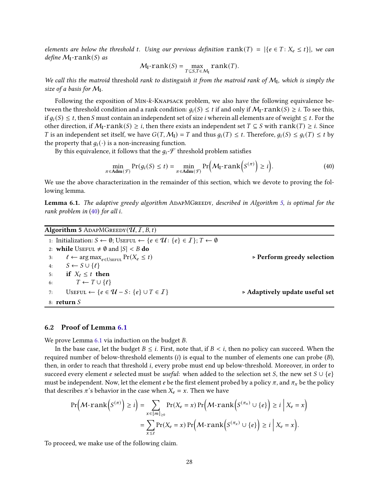elements are below the threshold t. Using our previous definition  $rank(T) = |\{e \in T : X_e \leq t\}|$ , we can define  $M_I$ -rank $(S)$  as

<span id="page-28-1"></span>
$$
M_{\mathbf{I}}\text{-rank}(S) = \max_{T \subseteq S, T \in M_{\mathbf{I}}} \text{rank}(T).
$$

We call this the matroid threshold rank to distinguish it from the matroid rank of  $M_I$ , which is simply the size of a basis for  $M_{\rm I}$ .

Following the exposition of MIN-k-KNAPSACK problem, we also have the following equivalence between the threshold condition and a rank condition:  $q_i(S) \le t$  if and only if  $M_1$ -rank $(S) \ge i$ . To see this, if  $g_i(S) \leq t$ , then S must contain an independent set of size *i* wherein all elements are of weight  $\leq t$ . For the other direction, if  $M_1$ -rank $(S) \geq i$ , then there exists an independent set  $T \subseteq S$  with rank $(T) \geq i$ . Since T is an independent set itself, we have  $G(T, M_1) = T$  and thus  $g_i(T) \leq t$ . Therefore,  $g_i(S) \leq g_i(T) \leq t$  by the property that  $q_i(\cdot)$  is a non-increasing function.

By this equivalence, it follows that the  $g_i$ - $\mathcal F$  threshold problem satisfies

$$
\min_{\pi \in \mathbf{Adm}(\mathcal{F})} \Pr(g_i(S) \le t) = \min_{\pi \in \mathbf{Adm}(\mathcal{F})} \Pr\Big(\mathcal{M}_{\mathbf{I}} \cdot \mathbf{rank}\Big(S^{(\pi)}\Big) \ge i\Big). \tag{40}
$$

<span id="page-28-2"></span>We use the above characterization in the remainder of this section, which we devote to proving the following lemma.

Lemma 6.1. The adaptive greedy algorithm ADAPMGREEDY, described in Algorithm [5,](#page-28-0) is optimal for the rank problem in  $(40)$  for all i.

<span id="page-28-0"></span>

| <b>Algorithm 5</b> ADAPMGREEDY $(\mathcal{U}, I, B, t)$                                                                                       |                                               |
|-----------------------------------------------------------------------------------------------------------------------------------------------|-----------------------------------------------|
| 1: Initialization: $S \leftarrow \emptyset$ ; Userul $\leftarrow \{e \in \mathcal{U} : \{e\} \in \mathcal{I}\}\; ; \; T \leftarrow \emptyset$ |                                               |
| 2: while Useful $\neq \emptyset$ and $ S  < B$ do                                                                                             |                                               |
| $\ell \leftarrow \arg \max_{e \in \text{User}} \Pr(X_e \leq t)$<br>3:                                                                         | $\triangleright$ Perform greedy selection     |
| $S \leftarrow S \cup \{\ell\}$<br>4:                                                                                                          |                                               |
| if $X_f \leq t$ then<br>5:                                                                                                                    |                                               |
| $T \leftarrow T \cup \{\ell\}$<br>6:                                                                                                          |                                               |
| USEFUL $\leftarrow \{e \in \mathcal{U} - S : \{e\} \cup T \in \mathcal{I}\}\$<br>7:                                                           | $\triangleright$ Adaptively update useful set |
| 8: $return S$                                                                                                                                 |                                               |

## 6.2 Proof of Lemma [6.1](#page-28-2)

We prove Lemma  $6.1$  via induction on the budget  $B$ .

In the base case, let the budget  $B \leq i$ . First, note that, if  $B \leq i$ , then no policy can succeed. When the required number of below-threshold elements  $(i)$  is equal to the number of elements one can probe  $(B)$ , then, in order to reach that threshold *i*, every probe must end up below-threshold. Moreover, in order to succeed every element e selected must be useful: when added to the selection set *S*, the new set  $S \cup \{e\}$ must be independent. Now, let the element *e* be the first element probed by a policy  $\pi$ , and  $\pi_x$  be the policy that describes  $\pi$ 's behavior in the case when  $X_e = x$ . Then we have

$$
\Pr\left(\mathcal{M}\text{-rank}\left(S^{(\pi)}\right)\geq i\right)=\sum_{x\in[m]_{\geq 0}}\Pr(X_e=x)\Pr\left(\mathcal{M}\text{-rank}\left(S^{(\pi_x)}\cup\{e\}\right)\geq i\Big|\ X_e=x\right)
$$

$$
=\sum_{x\leq t}\Pr(X_e=x)\Pr\left(\mathcal{M}\text{-rank}\left(S^{(\pi_x)}\cup\{e\}\right)\geq i\Big|\ X_e=x\right).
$$

<span id="page-28-3"></span>To proceed, we make use of the following claim.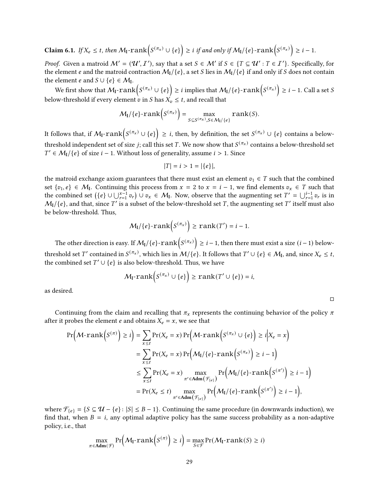**Claim 6.1.** If 
$$
X_e \le t
$$
, then  $M_I$ -rank $(S^{(\pi_x)} \cup \{e\}) \ge i$  if and only if  $M_I/\{e\}$ -rank $(S^{(\pi_x)}) \ge i-1$ .

*Proof.* Given a matroid  $M' = (\mathcal{U}', \mathcal{I}')$ , say that a set  $S \in \mathcal{M}'$  if  $S \in \{T \subseteq \mathcal{U}': T \in \mathcal{I}'\}$ . Specifically, for the element e and the matroid contraction  $M_1/\{e\}$ , a set S lies in  $M_1/\{e\}$  if and only if S does not contain the element *e* and  $S \cup \{e\} \in \mathcal{M}_{I}$ .

We first show that  $\mathcal{M}_{\mathbf{I}}\text{-rank}\big(S^{(\pi_{\mathbf{x}})}\cup\{e\}\big)\geq i$  implies that  $\mathcal{M}_{\mathbf{I}}/\{e\}\text{-rank}\big(S^{(\pi_{\mathbf{x}})}\big)\geq i-1.$  Call a set  $S$ below-threshold if every element  $\dot{v}$  in *S* has  $X_v \leq t$ , and recall that

$$
\mathcal{M}_\mathbf{I}/\{e\}\text{-}\mathrm{rank}\left(S^{(\pi_x)}\right) = \max_{S \subseteq S^{(\pi_x)}, S \in \mathcal{M}_\mathbf{I}/\{e\}} \mathrm{rank}(S).
$$

It follows that, if  $\mathcal{M}_{\mathsf{I}}\text{-rank}\big(S^{(\pi_x)}\cup\{e\}\big)\ge i$ , then, by definition, the set  $S^{(\pi_x)}\cup\{e\}$  contains a belowthreshold independent set of size  $j;$  call this set  $T.$  We now show that  $S^{(\pi_{\bm x})}$  contains a below-threshold set  $T'$  ∈  $M_I$ /{ $e$ } of size  $i - 1$ . Without loss of generality, assume  $i > 1$ . Since

$$
|T| = i > 1 = |\{e\}|,
$$

the matroid exchange axiom guarantees that there must exist an element  $v_1 \in T$  such that the combined set  $\{v_1, e\} \in \mathcal{M}_{I}$ . Continuing this process from  $x = 2$  to  $x = i - 1$ , we find elements  $v_x \in T$  such that the combined set  $({e} \cup \bigcup_{r=1}^{x-1} v_r) \cup v_x \in M_I$ . Now, observe that the augmenting set  $T' = \bigcup_{r=1}^{i-1} v_r$  is in  $M_I/\{e\}$ , and that, since T' is a subset of the below-threshold set T, the augmenting set T' itself must also be below-threshold. Thus,

$$
\mathcal{M}_\mathbf{I}/\{e\}\text{-}\mathrm{rank}\left(S^{(\pi_x)}\right) \geq \mathrm{rank}(T')=i-1.
$$

The other direction is easy. If  $\mathcal{M}_I/\{e\}$ - $\text{rank}\big(S^{(\pi_\mathbf{x})}\big) \geq i-1,$  then there must exist a size  $(i-1)$  belowthreshold set  $T'$  contained in  $S^{(\pi_x)}$ , which lies in  $\mathcal{M}/\{e\}$ . It follows that  $T'\cup\{e\}\in\mathcal{M}_{\rm I}$ , and, since  $X_e\leq t$ , the combined set  $T' \cup \{e\}$  is also below-threshold. Thus, we have

$$
M_{\mathbf{I}}\text{-}\mathrm{rank}\Big(S^{(\pi_x)}\cup\{e\}\Big)\geq\mathrm{rank}(T'\cup\{e\})=i,
$$

as desired.

Continuing from the claim and recalling that  $\pi_x$  represents the continuing behavior of the policy  $\pi$ after it probes the element *e* and obtains  $X_e = x$ , we see that

$$
\Pr\left(\mathcal{M}\text{-rank}\left(S^{(\pi)}\right) \geq i\right) = \sum_{x \leq t} \Pr(X_e = x) \Pr\left(\mathcal{M}\text{-rank}\left(S^{(\pi_x)} \cup \{e\}\right) \geq i \middle| X_e = x\right)
$$
\n
$$
= \sum_{x \leq t} \Pr(X_e = x) \Pr\left(\mathcal{M}_1/\{e\}\text{-rank}\left(S^{(\pi_x)}\right) \geq i - 1\right)
$$
\n
$$
\leq \sum_{x \leq t} \Pr(X_e = x) \max_{\pi' \in \text{Adm}\left(\mathcal{F}_{\{e\}}\right)} \Pr\left(\mathcal{M}_1/\{e\}\text{-rank}\left(S^{(\pi')}\right) \geq i - 1\right)
$$
\n
$$
= \Pr(X_e \leq t) \max_{\pi' \in \text{Adm}\left(\mathcal{F}_{\{e\}}\right)} \Pr\left(\mathcal{M}_1/\{e\}\text{-rank}\left(S^{(\pi')}\right) \geq i - 1\right),
$$

where  $\mathcal{F}_{\{e\}} = \{S \subseteq \mathcal{U} - \{e\} : |S| \leq B - 1\}$ . Continuing the same procedure (in downwards induction), we find that, when  $B = i$ , any optimal adaptive policy has the same success probability as a non-adaptive policy, i.e., that

$$
\max_{\pi \in \text{Adm}(\mathcal{F})} \Pr\Big(\mathcal{M}_{\text{I}}\text{-rank}\Big(S^{(\pi)}\Big) \geq i\Big) = \max_{S \in \mathcal{F}} \Pr(\mathcal{M}_{\text{I}}\text{-rank}(S) \geq i)
$$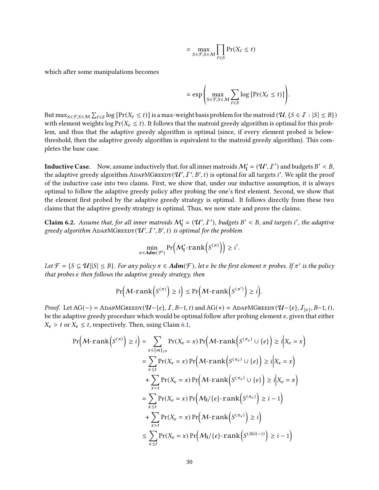$$
= \max_{S \in \mathcal{F}, S \in \mathcal{M}} \prod_{\ell \in S} \Pr(X_{\ell} \le t)
$$

which after some manipulations becomes

$$
= \exp\left(\max_{S \in \mathcal{F}, S \in \mathcal{M}} \sum_{\ell \in S} \log \left[\Pr(X_{\ell} \le t)\right]\right).
$$

But  $\max_{S \in \mathcal{F}, S \in \mathcal{M}} \sum_{\ell \in S} \log \left[ \Pr(X_\ell \leq t) \right]$  is a max-weight basis problem for the matroid  $(\mathcal{U}, \{S \in \mathcal{I} : |S| \leq B\})$ with element weights log  $Pr(X_e \leq t)$ . It follows that the matroid greedy algorithm is optimal for this problem, and thus that the adaptive greedy algorithm is optimal (since, if every element probed is belowthreshold, then the adaptive greedy algorithm is equivalent to the matroid greedy algorithm). This completes the base case.

**Inductive Case.** Now, assume inductively that, for all inner matroids  $M'_{\mathbf{I}} = (\mathcal{U}', \mathcal{I}')$  and budgets  $B' < B$ , the adaptive greedy algorithm ADAPMGREEDY( $U', I', B', t$ ) is optimal for all targets i'. We split the proof of the inductive case into two claims. First, we show that, under our inductive assumption, it is always optimal to follow the adaptive greedy policy after probing the one's first element. Second, we show that the element first probed by the adaptive greedy strategy is optimal. It follows directly from these two claims that the adaptive greedy strategy is optimal. Thus, we now state and prove the claims.

<span id="page-30-0"></span>**Claim 6.2.** Assume that, for all inner matroids  $M'_I = (\mathcal{U}', I')$ , budgets  $B' < B$ , and targets i', the adaptive greedy algorithm ADAPMGREEDY( $\mathcal{U}', I', B', t$ ) is optimal for the problem

$$
\min_{\pi \in \mathit{Adm}(\mathcal{F})} \Pr\Big(\mathcal{M}'_1\text{-rank}\Big(S^{(\pi)}\Big)\Big) \geq i'.
$$

Let  $\mathcal{F} = \{S \subseteq \mathcal{U} | |S| \leq B\}$ . For any policy  $\pi \in \text{Adm}(\mathcal{F})$ , let e be the first element  $\pi$  probes. If  $\pi'$  is the policy that probes e then follows the adaptive greedy strategy, then

$$
\Pr\left(\mathcal{M}\text{-rank}\left(S^{(\pi)}\right)\geq i\right)\leq \Pr\left(\mathcal{M}\text{-rank}\left(S^{(\pi')}\right)\geq i\right).
$$

Proof. Let AG(−) = ADAPMGREEDY( $\mathcal{U}$ −{ $e$ },  $I$ ,  $B$ −1,  $t$ ) and AG(+) = ADAPMGREEDY( $\mathcal{U}$ −{ $e$ },  $I_{\{e\}}$ ,  $B$ −1,  $t$ ), be the adaptive greedy procedure which would be optimal follow after probing element e, given that either  $X_e > t$  or  $X_e \leq t$ , respectively. Then, using Claim [6.1,](#page-28-3)

$$
\Pr\left(\mathcal{M}\text{-rank}\left(S^{(\pi)}\right) \geq i\right) = \sum_{x \in [m]_{\geq 0}} \Pr(X_e = x) \Pr\left(\mathcal{M}\text{-rank}\left(S^{(\pi_x)} \cup \{e\}\right) \geq i | X_e = x\right)
$$
\n
$$
= \sum_{x \leq t} \Pr(X_e = x) \Pr\left(\mathcal{M}\text{-rank}\left(S^{(\pi_x)} \cup \{e\}\right) \geq i | X_e = x\right)
$$
\n
$$
+ \sum_{x > t} \Pr(X_e = x) \Pr\left(\mathcal{M}\text{-rank}\left(S^{(\pi_x)} \cup \{e\}\right) \geq i | X_e = x\right)
$$
\n
$$
= \sum_{x \leq t} \Pr(X_e = x) \Pr\left(\mathcal{M}_1/\{e\}\text{-rank}\left(S^{(\pi_x)}\right) \geq i - 1\right)
$$
\n
$$
+ \sum_{x > t} \Pr(X_e = x) \Pr\left(\mathcal{M}\text{-rank}\left(S^{(\pi_x)}\right) \geq i\right)
$$
\n
$$
\leq \sum_{x \leq t} \Pr(X_e = x) \Pr\left(\mathcal{M}_1/\{e\}\text{-rank}\left(S^{(\text{AG}(-))}\right) \geq i - 1\right)
$$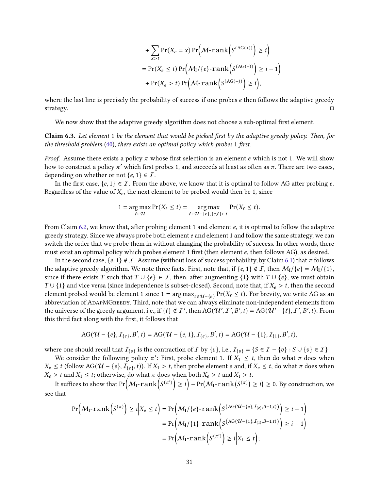+ 
$$
\sum_{x>t} \Pr(X_e = x) \Pr\left(\mathcal{M}\text{-rank}\left(S^{(AG(+))}\right) \geq i\right)
$$
  
=  $\Pr(X_e \leq t) \Pr\left(\mathcal{M}_1/\{e\}\text{-rank}\left(S^{(AG(+))}\right) \geq i - 1\right)$   
+  $\Pr(X_e > t) \Pr\left(\mathcal{M}\text{-rank}\left(S^{(AG(-))}\right) \geq i\right)$ ,

where the last line is precisely the probability of success if one probes  $e$  then follows the adaptive greedy strategy.  $\square$ 

<span id="page-31-0"></span>We now show that the adaptive greedy algorithm does not choose a sub-optimal first element.

Claim 6.3. Let element 1 be the element that would be picked first by the adaptive greedy policy. Then, for the threshold problem [\(40\)](#page-28-1), there exists an optimal policy which probes 1 first.

*Proof.* Assume there exists a policy  $\pi$  whose first selection is an element e which is not 1. We will show how to construct a policy  $\pi'$  which first probes 1, and succeeds at least as often as  $\pi$ . There are two cases, depending on whether or not  $\{e, 1\} \in \mathcal{I}$ .

In the first case,  $\{e, 1\} \in I$ . From the above, we know that it is optimal to follow AG after probing e. Regardless of the value of  $X_e$ , the next element to be probed would then be 1, since

$$
1 = \underset{\ell \in \mathcal{U}}{\arg \max} \Pr(X_{\ell} \leq t) = \underset{\ell \in \mathcal{U} - \{e\}, \{e,\ell\} \in \mathcal{I}}{\arg \max} \Pr(X_{\ell} \leq t).
$$

From Claim [6.2,](#page-30-0) we know that, after probing element 1 and element  $e$ , it is optimal to follow the adaptive greedy strategy. Since we always probe both element e and element 1 and follow the same strategy, we can switch the order that we probe them in without changing the probability of success. In other words, there must exist an optimal policy which probes element 1 first (then element  $e$ , then follows AG), as desired.

In the second case,  $\{e, 1\} \notin \mathcal{I}$ . Assume (without loss of success probability, by Claim [6.1\)](#page-28-3) that  $\pi$  follows the adaptive greedy algorithm. We note three facts. First, note that, if  $\{e, 1\} \notin \mathcal{I}$ , then  $\mathcal{M}_1/\{e\} = \mathcal{M}_1/\{1\}$ , since if there exists T such that  $T \cup \{e\} \in T$ , then, after augmenting  $\{1\}$  with  $T \cup \{e\}$ , we must obtain  $T \cup \{1\}$  and vice versa (since independence is subset-closed). Second, note that, if  $X_e > t$ , then the second element probed would be element 1 since 1 =  $\arg \max_{\ell \in \mathcal{U} - \{e\}} \Pr(X_\ell \leq t)$ . For brevity, we write AG as an abbreviation of ADAPMGREEDY. Third, note that we can always eliminate non-independent elements from the universe of the greedy argument, i.e., if  $\{ \ell \} \notin \mathcal{I}'$ , then AG( $\mathcal{U}', \mathcal{I}', B', t$ ) = AG( $\mathcal{U}' - \{ \ell \}, \mathcal{I}', B', t$ ). From this third fact along with the first, it follows that

$$
AG(\mathcal{U} - \{e\}, \mathcal{I}_{\{e\}}, B', t) = AG(\mathcal{U} - \{e, 1\}, \mathcal{I}_{\{e\}}, B', t) = AG(\mathcal{U} - \{1\}, \mathcal{I}_{\{1\}}, B', t),
$$

where one should recall that  $I_{\{v\}}$  is the contraction of  $I$  by  $\{v\}$ , i.e.,  $I_{\{v\}} = \{S \in I - \{v\} : S \cup \{v\} \in I\}$ 

We consider the following policy  $\pi'$ : First, probe element 1. If  $X_1 \leq t$ , then do what  $\pi$  does when  $X_e ≤ t$  (follow AG( $U - \{e\}$ ,  $\overline{I_{\{e\}}}$ , t)). If  $X_1 > t$ , then probe element  $e$  and, if  $X_e ≤ t$ , do what  $\pi$  does when  $X_e > t$  and  $X_1 \le t$ ; otherwise, do what  $\pi$  does when both  $X_e > t$  and  $X_1 > t$ .

It suffices to show that  $Pr(\mathcal{M}_\text{I}\text{-rank}(S^{(\pi)})\geq i)-Pr(\mathcal{M}_\text{I}\text{-rank}(S^{(\pi)})\geq i)\geq 0.$  By construction, we see that

$$
\Pr\left(\mathcal{M}_{\mathbf{I}}\text{-rank}\left(S^{(\pi)}\right) \geq i \Big| X_e \leq t\right) = \Pr\left(\mathcal{M}_{\mathbf{I}}/\{e\}\text{-rank}\left(S^{\left(\text{AG}(\mathcal{U}-\{e\}, \mathcal{I}_{\{e\}}, B-1, t)\right)}\right) \geq i-1\right)
$$
\n
$$
= \Pr\left(\mathcal{M}_{\mathbf{I}}/\{1\}\text{-rank}\left(S^{\left(\text{AG}(\mathcal{U}-\{1\}, \mathcal{I}_{\{1\}}, B-1, t)\right)}\right) \geq i-1\right)
$$
\n
$$
= \Pr\left(\mathcal{M}_{\mathbf{I}}\text{-rank}\left(S^{(\pi')}\right) \geq i \Big| X_1 \leq t\right);
$$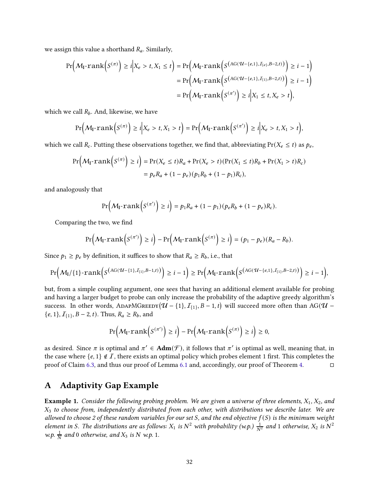we assign this value a shorthand  $R_a$ . Similarly,

$$
\Pr\left(\mathcal{M}_{\mathbf{I}}\text{-rank}\left(S^{(\pi)}\right) \geq i \Big| X_e > t, X_1 \leq t\right) = \Pr\left(\mathcal{M}_{\mathbf{I}}\text{-rank}\left(S^{\left(\text{AG}(\mathcal{U}-\{e,1\}, I_{\{e\}}, B-2, t)\right)}\right) \geq i-1\right) \\
= \Pr\left(\mathcal{M}_{\mathbf{I}}\text{-rank}\left(S^{\left(\text{AG}(\mathcal{U}-\{e,1\}, I_{\{1\}}, B-2, t)\right)}\right) \geq i-1\right) \\
= \Pr\left(\mathcal{M}_{\mathbf{I}}\text{-rank}\left(S^{(\pi')}\right) \geq i \Big| X_1 \leq t, X_e > t\right),
$$

which we call  $R_b$ . And, likewise, we have

$$
\Pr\left(\mathcal{M}_{\mathbf{I}}\text{-rank}\left(S^{(\pi)}\right)\geq i\Big|X_e>t,X_1>t\right)=\Pr\left(\mathcal{M}_{\mathbf{I}}\text{-rank}\left(S^{(\pi')}\right)\geq i\Big|X_e>t,X_1>t\right),
$$

which we call  $R_c$ . Putting these observations together, we find that, abbreviating  $Pr(X_e \le t)$  as  $p_e$ ,

$$
\Pr\left(\mathcal{M}_{\mathbf{I}}\text{-rank}\left(S^{(\pi)}\right) \geq i\right) = \Pr(X_e \leq t)R_a + \Pr(X_e > t)(\Pr(X_1 \leq t)R_b + \Pr(X_1 > t)R_c) \\ = p_eR_a + (1 - p_e)(p_1R_b + (1 - p_1)R_c),
$$

and analogously that

$$
\Pr\Big(\mathcal{M}_{\mathbf{I}}\text{-rank}\Big(S^{(\pi')}\Big)\geq i\Big)=p_1R_a+(1-p_1)(p_eR_b+(1-p_e)R_c).
$$

Comparing the two, we find

$$
\Pr\Big(\mathcal{M}_{\mathbf{I}}\text{-rank}\Big(S^{(\pi')}\Big)\geq i\Big)-\Pr\Big(\mathcal{M}_{\mathbf{I}}\text{-rank}\Big(S^{(\pi)}\Big)\geq i\Big)=(p_1-p_e)(R_a-R_b).
$$

Since  $p_1 \geq p_e$  by definition, it suffices to show that  $R_a \geq R_b$ , i.e., that

$$
\Pr\Big(M_I/\{1\}\cdot\text{rank}\Big(S^{\big(\text{AG}(\mathcal{U}-\{1\},\mathcal{I}_{\{1\}},B-1,t)\big)}\Big)\geq i-1\Big)\geq \Pr\Big(M_I\cdot\text{rank}\Big(S^{\big(\text{AG}(\mathcal{U}-\{e,1\},\mathcal{I}_{\{1\}},B-2,t)\big)}\Big)\geq i-1\Big),
$$

but, from a simple coupling argument, one sees that having an additional element available for probing and having a larger budget to probe can only increase the probability of the adaptive greedy algorithm's success. In other words, ADAPMGREEDY $(\mathcal{U} - \{1\}, \mathcal{I}_{\{1\}}, B-1, t)$  will succeed more often than AG( $\mathcal{U}$  –  $\{e, 1\}, \mathcal{I}_{\{1\}}, B-2, t$ ). Thus,  $R_a \geq R_b$ , and

$$
\Pr\left(\mathcal{M}_{\mathbf{I}}\text{-rank}\left(S^{(\pi')}\right)\geq i\right)-\Pr\left(\mathcal{M}_{\mathbf{I}}\text{-rank}\left(S^{(\pi)}\right)\geq i\right)\geq 0,
$$

as desired. Since  $\pi$  is optimal and  $\pi' \in \text{Adm}(\mathcal{F})$ , it follows that  $\pi'$  is optimal as well, meaning that, in the case where  $\{e, 1\} \notin \mathcal{I}$ , there exists an optimal policy which probes element 1 first. This completes the proof of Claim [6.3,](#page-31-0) and thus our proof of Lemma [6.1](#page-28-2) and, accordingly, our proof of Theorem [4.](#page-2-4)

## <span id="page-32-0"></span>A Adaptivity Gap Example

**Example 1.** Consider the following probing problem. We are given a universe of three elements,  $X_1, X_2$ , and  $X_3$  to choose from, independently distributed from each other, with distributions we describe later. We are allowed to choose 2 of these random variables for our set S, and the end objective  $f(S)$  is the minimum weight element in S. The distributions are as follows:  $X_1$  is  $N^2$  with probability (w.p.)  $\frac{1}{N^2}$  and 1 otherwise,  $X_2$  is  $N^2$ w.p.  $\frac{1}{N}$  and 0 otherwise, and  $X_3$  is N w.p. 1.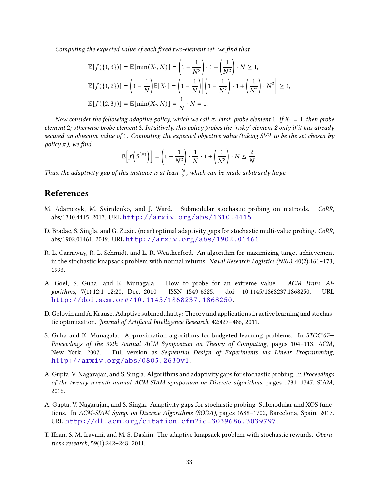Computing the expected value of each fixed two-element set, we find that

$$
\mathbb{E}[f(\{1,3\})] = \mathbb{E}[\min(X_1, N)] = \left(1 - \frac{1}{N^2}\right) \cdot 1 + \left(\frac{1}{N^2}\right) \cdot N \ge 1,
$$
  

$$
\mathbb{E}[f(\{1,2\})] = \left(1 - \frac{1}{N}\right) \mathbb{E}[X_1] = \left(1 - \frac{1}{N}\right) \left[\left(1 - \frac{1}{N^2}\right) \cdot 1 + \left(\frac{1}{N^2}\right) \cdot N^2\right] \ge 1,
$$
  

$$
\mathbb{E}[f(\{2,3\})] = \mathbb{E}[\min(X_2, N)] = \frac{1}{N} \cdot N = 1.
$$

Now consider the following adaptive policy, which we call  $\pi$ : First, probe element 1. If  $X_1 = 1$ , then probe element 2; otherwise probe element 3. Intuitively, this policy probes the 'risky' element 2 only if it has already secured an objective value of 1. Computing the expected objective value (taking  $S^{(\pi)}$  to be the set chosen by policy  $\pi$ ), we find

$$
\mathbb{E}\left[f\left(S^{(\pi)}\right)\right] = \left(1 - \frac{1}{N^2}\right) \cdot \frac{1}{N} \cdot 1 + \left(\frac{1}{N^2}\right) \cdot N \leq \frac{2}{N}.
$$

Thus, the adaptivity gap of this instance is at least  $\frac{N}{2}$ , which can be made arbitrarily large.

## References

- <span id="page-33-4"></span>M. Adamczyk, M. Sviridenko, and J. Ward. Submodular stochastic probing on matroids. CoRR, abs/1310.4415, 2013. URL <http://arxiv.org/abs/1310.4415>.
- <span id="page-33-6"></span>D. Bradac, S. Singla, and G. Zuzic. (near) optimal adaptivity gaps for stochastic multi-value probing. CoRR, abs/1902.01461, 2019. URL <http://arxiv.org/abs/1902.01461>.
- <span id="page-33-7"></span>R. L. Carraway, R. L. Schmidt, and L. R. Weatherford. An algorithm for maximizing target achievement in the stochastic knapsack problem with normal returns. Naval Research Logistics (NRL), 40(2):161–173, 1993.
- <span id="page-33-0"></span>A. Goel, S. Guha, and K. Munagala. How to probe for an extreme value. ACM Trans. Algorithms, 7(1):12:1–12:20, Dec. 2010. ISSN 1549-6325. doi: 10.1145/1868237.1868250. URL <http://doi.acm.org/10.1145/1868237.1868250>.
- <span id="page-33-2"></span>D. Golovin and A. Krause. Adaptive submodularity: Theory and applications in active learning and stochastic optimization. Journal of Artificial Intelligence Research, 42:427–486, 2011.
- <span id="page-33-1"></span>S. Guha and K. Munagala. Approximation algorithms for budgeted learning problems. In STOC'07— Proceedings of the 39th Annual ACM Symposium on Theory of Computing, pages 104–113. ACM, New York, 2007. Full version as Sequential Design of Experiments via Linear Programming, <http://arxiv.org/abs/0805.2630v1>.
- <span id="page-33-3"></span>A. Gupta, V. Nagarajan, and S. Singla. Algorithms and adaptivity gaps for stochastic probing. In Proceedings of the twenty-seventh annual ACM-SIAM symposium on Discrete algorithms, pages 1731–1747. SIAM, 2016.
- <span id="page-33-5"></span>A. Gupta, V. Nagarajan, and S. Singla. Adaptivity gaps for stochastic probing: Submodular and XOS functions. In ACM-SIAM Symp. on Discrete Algorithms (SODA), pages 1688–1702, Barcelona, Spain, 2017. URL <http://dl.acm.org/citation.cfm?id=3039686.3039797>.
- <span id="page-33-8"></span>T. Ilhan, S. M. Iravani, and M. S. Daskin. The adaptive knapsack problem with stochastic rewards. Operations research, 59(1):242–248, 2011.